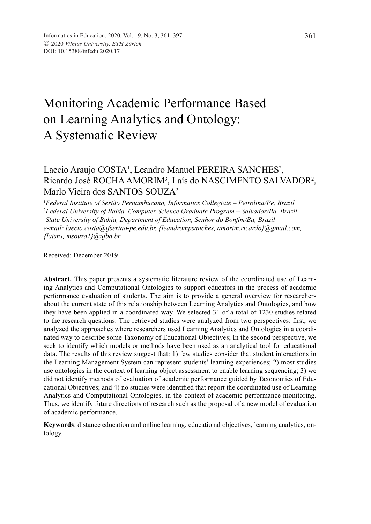# Monitoring Academic Performance Based on Learning Analytics and Ontology: A Systematic Review

# Laecio Araujo COSTA<sup>1</sup>, Leandro Manuel PEREIRA SANCHES<sup>2</sup>, Ricardo José ROCHA AMORIM3 , Laís do NASCIMENTO SALVADOR2 , Marlo Vieira dos SANTOS SOUZA2

1 *Federal Institute of Sertão Pernambucano, Informatics Collegiate – Petrolina/Pe, Brazil* 2 *Federal University of Bahia, Computer Science Graduate Program – Salvador/Ba, Brazil* 3 *State University of Bahia, Department of Education, Senhor do Bonfim/Ba, Brazil e-mail: laecio.costa@ifsertao-pe.edu.br, {leandrompsanches, amorim.ricardo}@gmail.com, {laisns, msouza1}@ufba.br*

Received: December 2019

**Abstract.** This paper presents a systematic literature review of the coordinated use of Learning Analytics and Computational Ontologies to support educators in the process of academic performance evaluation of students. The aim is to provide a general overview for researchers about the current state of this relationship between Learning Analytics and Ontologies, and how they have been applied in a coordinated way. We selected 31 of a total of 1230 studies related to the research questions. The retrieved studies were analyzed from two perspectives: first, we analyzed the approaches where researchers used Learning Analytics and Ontologies in a coordinated way to describe some Taxonomy of Educational Objectives; In the second perspective, we seek to identify which models or methods have been used as an analytical tool for educational data. The results of this review suggest that: 1) few studies consider that student interactions in the Learning Management System can represent students' learning experiences; 2) most studies use ontologies in the context of learning object assessment to enable learning sequencing; 3) we did not identify methods of evaluation of academic performance guided by Taxonomies of Educational Objectives; and 4) no studies were identified that report the coordinated use of Learning Analytics and Computational Ontologies, in the context of academic performance monitoring. Thus, we identify future directions of research such as the proposal of a new model of evaluation of academic performance.

**Keywords**: distance education and online learning, educational objectives, learning analytics, ontology.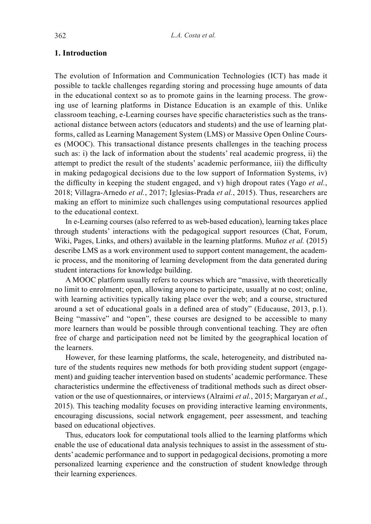#### **1. Introduction**

The evolution of Information and Communication Technologies (ICT) has made it possible to tackle challenges regarding storing and processing huge amounts of data in the educational context so as to promote gains in the learning process. The growing use of learning platforms in Distance Education is an example of this. Unlike classroom teaching, e-Learning courses have specific characteristics such as the transactional distance between actors (educators and students) and the use of learning platforms, called as Learning Management System (LMS) or Massive Open Online Courses (MOOC). This transactional distance presents challenges in the teaching process such as: i) the lack of information about the students' real academic progress, ii) the attempt to predict the result of the students' academic performance, iii) the difficulty in making pedagogical decisions due to the low support of Information Systems, iv) the difficulty in keeping the student engaged, and v) high dropout rates (Yago *et al.*, 2018; Villagra-Arnedo *et al.*, 2017; Iglesias-Prada *et al.*, 2015). Thus, researchers are making an effort to minimize such challenges using computational resources applied to the educational context.

In e-Learning courses (also referred to as web-based education), learning takes place through students' interactions with the pedagogical support resources (Chat, Forum, Wiki, Pages, Links, and others) available in the learning platforms. Muñoz *et al.* (2015) describe LMS as a work environment used to support content management, the academic process, and the monitoring of learning development from the data generated during student interactions for knowledge building.

A MOOC platform usually refers to courses which are "massive, with theoretically no limit to enrolment; open, allowing anyone to participate, usually at no cost; online, with learning activities typically taking place over the web; and a course, structured around a set of educational goals in a defined area of study" (Educause, 2013, p.1). Being "massive" and "open", these courses are designed to be accessible to many more learners than would be possible through conventional teaching. They are often free of charge and participation need not be limited by the geographical location of the learners.

However, for these learning platforms, the scale, heterogeneity, and distributed nature of the students requires new methods for both providing student support (engagement) and guiding teacher intervention based on students' academic performance. These characteristics undermine the effectiveness of traditional methods such as direct observation or the use of questionnaires, or interviews (Alraimi *et al.*, 2015; Margaryan *et al.*, 2015). This teaching modality focuses on providing interactive learning environments, encouraging discussions, social network engagement, peer assessment, and teaching based on educational objectives.

Thus, educators look for computational tools allied to the learning platforms which enable the use of educational data analysis techniques to assist in the assessment of students' academic performance and to support in pedagogical decisions, promoting a more personalized learning experience and the construction of student knowledge through their learning experiences.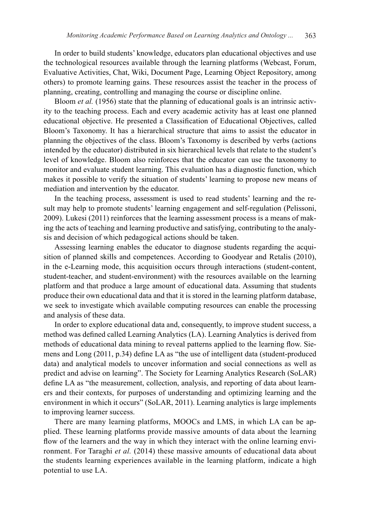In order to build students' knowledge, educators plan educational objectives and use the technological resources available through the learning platforms (Webcast, Forum, Evaluative Activities, Chat, Wiki, Document Page, Learning Object Repository, among others) to promote learning gains. These resources assist the teacher in the process of planning, creating, controlling and managing the course or discipline online.

Bloom *et al.* (1956) state that the planning of educational goals is an intrinsic activity to the teaching process. Each and every academic activity has at least one planned educational objective. He presented a Classification of Educational Objectives, called Bloom's Taxonomy. It has a hierarchical structure that aims to assist the educator in planning the objectives of the class. Bloom's Taxonomy is described by verbs (actions intended by the educator) distributed in six hierarchical levels that relate to the student's level of knowledge. Bloom also reinforces that the educator can use the taxonomy to monitor and evaluate student learning. This evaluation has a diagnostic function, which makes it possible to verify the situation of students' learning to propose new means of mediation and intervention by the educator.

In the teaching process, assessment is used to read students' learning and the result may help to promote students' learning engagement and self-regulation (Pelissoni, 2009). Lukesi (2011) reinforces that the learning assessment process is a means of making the acts of teaching and learning productive and satisfying, contributing to the analysis and decision of which pedagogical actions should be taken.

Assessing learning enables the educator to diagnose students regarding the acquisition of planned skills and competences. According to Goodyear and Retalis (2010), in the e-Learning mode, this acquisition occurs through interactions (student-content, student-teacher, and student-environment) with the resources available on the learning platform and that produce a large amount of educational data. Assuming that students produce their own educational data and that it is stored in the learning platform database, we seek to investigate which available computing resources can enable the processing and analysis of these data.

In order to explore educational data and, consequently, to improve student success, a method was defined called Learning Analytics (LA). Learning Analytics is derived from methods of educational data mining to reveal patterns applied to the learning flow. Siemens and Long (2011, p.34) define LA as "the use of intelligent data (student-produced data) and analytical models to uncover information and social connections as well as predict and advise on learning". The Society for Learning Analytics Research (SoLAR) define LA as "the measurement, collection, analysis, and reporting of data about learners and their contexts, for purposes of understanding and optimizing learning and the environment in which it occurs" (SoLAR, 2011). Learning analytics is large implements to improving learner success.

There are many learning platforms, MOOCs and LMS, in which LA can be applied. These learning platforms provide massive amounts of data about the learning flow of the learners and the way in which they interact with the online learning environment. For Taraghi *et al.* (2014) these massive amounts of educational data about the students learning experiences available in the learning platform, indicate a high potential to use LA.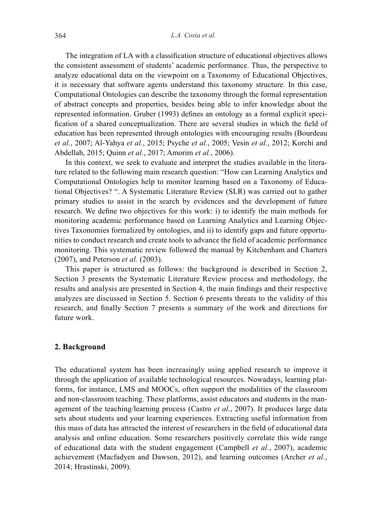The integration of LA with a classification structure of educational objectives allows the consistent assessment of students' academic performance. Thus, the perspective to analyze educational data on the viewpoint on a Taxonomy of Educational Objectives, it is necessary that software agents understand this taxonomy structure. In this case, Computational Ontologies can describe the taxonomy through the formal representation of abstract concepts and properties, besides being able to infer knowledge about the represented information. Gruber (1993) defines an ontology as a formal explicit specification of a shared conceptualization. There are several studies in which the field of education has been represented through ontologies with encouraging results (Bourdeau *et al.*, 2007; Al-Yahya *et al.*, 2015; Psyche *et al.*, 2005; Vesin *et al.*, 2012; Korchi and Abdellah, 2015; Quinn *et al.*, 2017; Amorim *et al.*, 2006).

In this context, we seek to evaluate and interpret the studies available in the literature related to the following main research question: "How can Learning Analytics and Computational Ontologies help to monitor learning based on a Taxonomy of Educational Objectives? ". A Systematic Literature Review (SLR) was carried out to gather primary studies to assist in the search by evidences and the development of future research. We define two objectives for this work: i) to identify the main methods for monitoring academic performance based on Learning Analytics and Learning Objectives Taxonomies formalized by ontologies, and ii) to identify gaps and future opportunities to conduct research and create tools to advance the field of academic performance monitoring. This systematic review followed the manual by Kitchenham and Charters (2007), and Peterson *et al.* (2003).

This paper is structured as follows: the background is described in Section 2, Section 3 presents the Systematic Literature Review process and methodology, the results and analysis are presented in Section 4, the main findings and their respective analyzes are discussed in Section 5. Section 6 presents threats to the validity of this research, and finally Section 7 presents a summary of the work and directions for future work.

#### **2. Background**

The educational system has been increasingly using applied research to improve it through the application of available technological resources. Nowadays, learning platforms, for instance, LMS and MOOCs, often support the modalities of the classroom and non-classroom teaching. These platforms, assist educators and students in the management of the teaching/learning process (Castro *et al.*, 2007). It produces large data sets about students and your learning experiences. Extracting useful information from this mass of data has attracted the interest of researchers in the field of educational data analysis and online education. Some researchers positively correlate this wide range of educational data with the student engagement (Campbell *et al.*, 2007), academic achievement (Macfadyen and Dawson, 2012), and learning outcomes (Archer *et al.*, 2014; Hrastinski, 2009).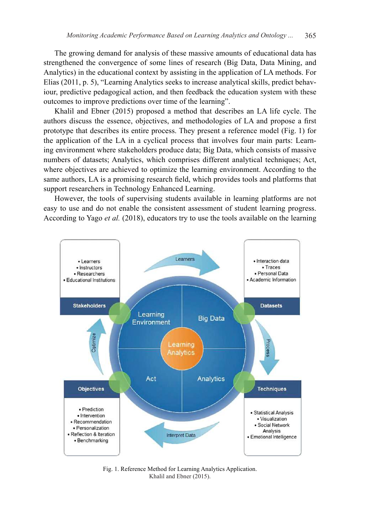The growing demand for analysis of these massive amounts of educational data has strengthened the convergence of some lines of research (Big Data, Data Mining, and Analytics) in the educational context by assisting in the application of LA methods. For Elias (2011, p. 5), "Learning Analytics seeks to increase analytical skills, predict behaviour, predictive pedagogical action, and then feedback the education system with these outcomes to improve predictions over time of the learning".

Khalil and Ebner (2015) proposed a method that describes an LA life cycle. The authors discuss the essence, objectives, and methodologies of LA and propose a first prototype that describes its entire process. They present a reference model (Fig. 1) for the application of the LA in a cyclical process that involves four main parts: Learning environment where stakeholders produce data; Big Data, which consists of massive numbers of datasets; Analytics, which comprises different analytical techniques; Act, where objectives are achieved to optimize the learning environment. According to the same authors, LA is a promising research field, which provides tools and platforms that support researchers in Technology Enhanced Learning.

However, the tools of supervising students available in learning platforms are not easy to use and do not enable the consistent assessment of student learning progress. According to Yago *et al.* (2018), educators try to use the tools available on the learning



Fig. 1. Reference Method for Learning Analytics Application. Khalil and Ebner (2015).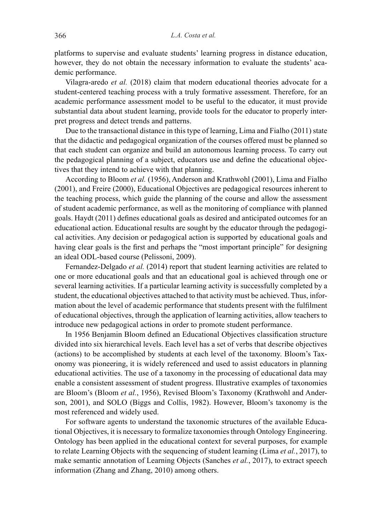platforms to supervise and evaluate students' learning progress in distance education, however, they do not obtain the necessary information to evaluate the students' academic performance.

Vilagra-aredo *et al.* (2018) claim that modern educational theories advocate for a student-centered teaching process with a truly formative assessment. Therefore, for an academic performance assessment model to be useful to the educator, it must provide substantial data about student learning, provide tools for the educator to properly interpret progress and detect trends and patterns.

Due to the transactional distance in this type of learning, Lima and Fialho (2011) state that the didactic and pedagogical organization of the courses offered must be planned so that each student can organize and build an autonomous learning process. To carry out the pedagogical planning of a subject, educators use and define the educational objectives that they intend to achieve with that planning.

According to Bloom *et al.* (1956), Anderson and Krathwohl (2001), Lima and Fialho (2001), and Freire (2000), Educational Objectives are pedagogical resources inherent to the teaching process, which guide the planning of the course and allow the assessment of student academic performance, as well as the monitoring of compliance with planned goals. Haydt (2011) defines educational goals as desired and anticipated outcomes for an educational action. Educational results are sought by the educator through the pedagogical activities. Any decision or pedagogical action is supported by educational goals and having clear goals is the first and perhaps the "most important principle" for designing an ideal ODL-based course (Pelissoni, 2009).

Fernandez-Delgado *et al.* (2014) report that student learning activities are related to one or more educational goals and that an educational goal is achieved through one or several learning activities. If a particular learning activity is successfully completed by a student, the educational objectives attached to that activity must be achieved. Thus, information about the level of academic performance that students present with the fulfilment of educational objectives, through the application of learning activities, allow teachers to introduce new pedagogical actions in order to promote student performance.

In 1956 Benjamin Bloom defined an Educational Objectives classification structure divided into six hierarchical levels. Each level has a set of verbs that describe objectives (actions) to be accomplished by students at each level of the taxonomy. Bloom's Taxonomy was pioneering, it is widely referenced and used to assist educators in planning educational activities. The use of a taxonomy in the processing of educational data may enable a consistent assessment of student progress. Illustrative examples of taxonomies are Bloom's (Bloom *et al.*, 1956), Revised Bloom's Taxonomy (Krathwohl and Anderson, 2001), and SOLO (Biggs and Collis, 1982). However, Bloom's taxonomy is the most referenced and widely used.

For software agents to understand the taxonomic structures of the available Educational Objectives, it is necessary to formalize taxonomies through Ontology Engineering. Ontology has been applied in the educational context for several purposes, for example to relate Learning Objects with the sequencing of student learning (Lima *et al.*, 2017), to make semantic annotation of Learning Objects (Sanches *et al.*, 2017), to extract speech information (Zhang and Zhang, 2010) among others.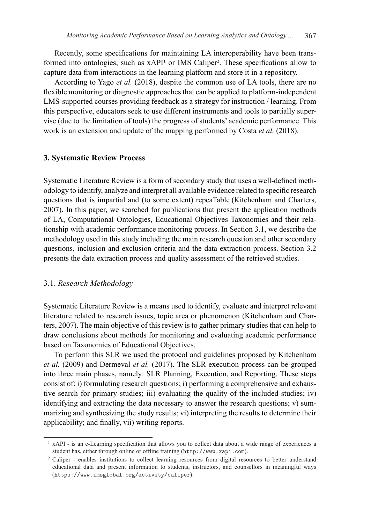Recently, some specifications for maintaining LA interoperability have been transformed into ontologies, such as  $xAPI<sup>1</sup>$  or IMS Caliper<sup>2</sup>. These specifications allow to capture data from interactions in the learning platform and store it in a repository.

According to Yago *et al.* (2018), despite the common use of LA tools, there are no flexible monitoring or diagnostic approaches that can be applied to platform-independent LMS-supported courses providing feedback as a strategy for instruction / learning. From this perspective, educators seek to use different instruments and tools to partially supervise (due to the limitation of tools) the progress of students' academic performance. This work is an extension and update of the mapping performed by Costa *et al.* (2018).

#### **3. Systematic Review Process**

Systematic Literature Review is a form of secondary study that uses a well-defined methodology to identify, analyze and interpret all available evidence related to specific research questions that is impartial and (to some extent) repeaTable (Kitchenham and Charters, 2007). In this paper, we searched for publications that present the application methods of LA, Computational Ontologies, Educational Objectives Taxonomies and their relationship with academic performance monitoring process. In Section 3.1, we describe the methodology used in this study including the main research question and other secondary questions, inclusion and exclusion criteria and the data extraction process. Section 3.2 presents the data extraction process and quality assessment of the retrieved studies.

#### 3.1. *Research Methodology*

Systematic Literature Review is a means used to identify, evaluate and interpret relevant literature related to research issues, topic area or phenomenon (Kitchenham and Charters, 2007). The main objective of this review is to gather primary studies that can help to draw conclusions about methods for monitoring and evaluating academic performance based on Taxonomies of Educational Objectives.

To perform this SLR we used the protocol and guidelines proposed by Kitchenham *et al.* (2009) and Dermeval *et al.* (2017). The SLR execution process can be grouped into three main phases, namely: SLR Planning, Execution, and Reporting. These steps consist of: i) formulating research questions; i) performing a comprehensive and exhaustive search for primary studies; iii) evaluating the quality of the included studies; iv) identifying and extracting the data necessary to answer the research questions; v) summarizing and synthesizing the study results; vi) interpreting the results to determine their applicability; and finally, vii) writing reports.

<sup>&</sup>lt;sup>1</sup> xAPI - is an e-Learning specification that allows you to collect data about a wide range of experiences a student has, either through online or offline training (http://www.xapi.com).

<sup>&</sup>lt;sup>2</sup> Caliper - enables institutions to collect learning resources from digital resources to better understand educational data and present information to students, instructors, and counsellors in meaningful ways (https://www.imsglobal.org/activity/caliper).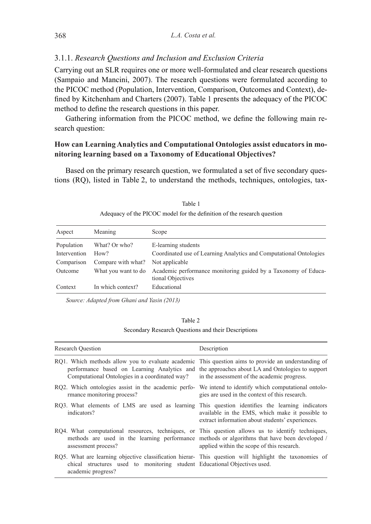#### 3.1.1. *Research Questions and Inclusion and Exclusion Criteria*

Carrying out an SLR requires one or more well-formulated and clear research questions (Sampaio and Mancini, 2007). The research questions were formulated according to the PICOC method (Population, Intervention, Comparison, Outcomes and Context), defined by Kitchenham and Charters (2007). Table 1 presents the adequacy of the PICOC method to define the research questions in this paper.

Gathering information from the PICOC method, we define the following main research question:

## **How can Learning Analytics and Computational Ontologies assist educators in monitoring learning based on a Taxonomy of Educational Objectives?**

Based on the primary research question, we formulated a set of five secondary questions (RQ), listed in Table 2, to understand the methods, techniques, ontologies, tax-

| Aspect       | Meaning             | Scope                                                                               |
|--------------|---------------------|-------------------------------------------------------------------------------------|
| Population   | What? Or who?       | E-learning students                                                                 |
| Intervention | How?                | Coordinated use of Learning Analytics and Computational Ontologies                  |
| Comparison   | Compare with what?  | Not applicable                                                                      |
| Outcome      | What you want to do | Academic performance monitoring guided by a Taxonomy of Educa-<br>tional Objectives |
| Context      | In which context?   | Educational                                                                         |

Table 1 Adequacy of the PICOC model for the definition of the research question

*Source: Adapted from Ghani and Yasin (2013)*

Secondary Research Questions and their Descriptions

| <b>Research Ouestion</b>                                                                                                                                                                                  | Description                                                                                                                                 |
|-----------------------------------------------------------------------------------------------------------------------------------------------------------------------------------------------------------|---------------------------------------------------------------------------------------------------------------------------------------------|
| RQ1. Which methods allow you to evaluate academic This question aims to provide an understanding of<br>Computational Ontologies in a coordinated way? in the assessment of the academic progress.         | performance based on Learning Analytics and the approaches about LA and Ontologies to support                                               |
| RQ2. Which ontologies assist in the academic perfo- We intend to identify which computational ontolo-<br>rmance monitoring process?                                                                       | gies are used in the context of this research.                                                                                              |
| RQ3. What elements of LMS are used as learning This question identifies the learning indicators<br>indicators?                                                                                            | available in the EMS, which make it possible to<br>extract information about students' experiences.                                         |
| RQ4. What computational resources, techniques, or This question allows us to identify techniques,<br>assessment process?                                                                                  | methods are used in the learning performance methods or algorithms that have been developed /<br>applied within the scope of this research. |
| RQ5. What are learning objective classification hierar- This question will highlight the taxonomies of<br>chical structures used to monitoring student Educational Objectives used.<br>academic progress? |                                                                                                                                             |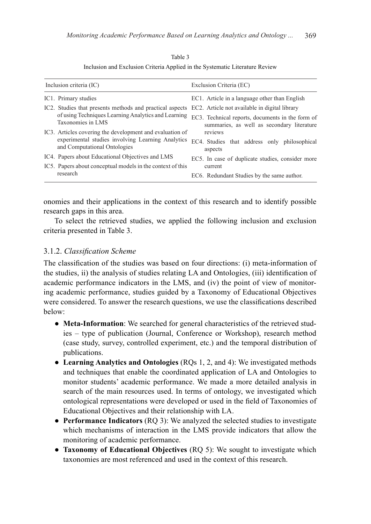| Table 3                                                                      |
|------------------------------------------------------------------------------|
| Inclusion and Exclusion Criteria Applied in the Systematic Literature Review |

| Inclusion criteria (IC)                                                           | Exclusion Criteria (EC)                                                                        |
|-----------------------------------------------------------------------------------|------------------------------------------------------------------------------------------------|
| IC1. Primary studies                                                              | EC1. Article in a language other than English                                                  |
| IC2. Studies that presents methods and practical aspects                          | EC2. Article not available in digital library                                                  |
| of using Techniques Learning Analytics and Learning<br>Taxonomies in LMS          | EC3. Technical reports, documents in the form of<br>summaries, as well as secondary literature |
| IC3. Articles covering the development and evaluation of                          | reviews                                                                                        |
| experimental studies involving Learning Analytics<br>and Computational Ontologies | EC4. Studies that address only philosophical<br>aspects                                        |
| IC4. Papers about Educational Objectives and LMS                                  | EC5. In case of duplicate studies, consider more                                               |
| IC5. Papers about conceptual models in the context of this                        | current                                                                                        |
| research                                                                          | EC6. Redundant Studies by the same author.                                                     |

onomies and their applications in the context of this research and to identify possible research gaps in this area.

To select the retrieved studies, we applied the following inclusion and exclusion criteria presented in Table 3.

## 3.1.2. *Classification Scheme*

The classification of the studies was based on four directions: (i) meta-information of the studies, ii) the analysis of studies relating LA and Ontologies, (iii) identification of academic performance indicators in the LMS, and (iv) the point of view of monitoring academic performance, studies guided by a Taxonomy of Educational Objectives were considered. To answer the research questions, we use the classifications described below:

- **Meta-Information**: We searched for general characteristics of the retrieved studies – type of publication (Journal, Conference or Workshop), research method (case study, survey, controlled experiment, etc.) and the temporal distribution of publications.
- **Learning Analytics and Ontologies** (RQs 1, 2, and 4): We investigated methods and techniques that enable the coordinated application of LA and Ontologies to monitor students' academic performance. We made a more detailed analysis in search of the main resources used. In terms of ontology, we investigated which ontological representations were developed or used in the field of Taxonomies of Educational Objectives and their relationship with LA.
- **Performance Indicators** (RQ 3): We analyzed the selected studies to investigate which mechanisms of interaction in the LMS provide indicators that allow the monitoring of academic performance.
- **Taxonomy of Educational Objectives** (RQ 5): We sought to investigate which taxonomies are most referenced and used in the context of this research.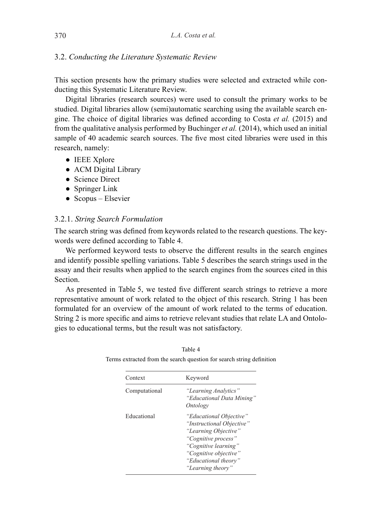## 3.2. *Conducting the Literature Systematic Review*

This section presents how the primary studies were selected and extracted while conducting this Systematic Literature Review.

Digital libraries (research sources) were used to consult the primary works to be studied. Digital libraries allow (semi)automatic searching using the available search engine. The choice of digital libraries was defined according to Costa *et al.* (2015) and from the qualitative analysis performed by Buchinger *et al.* (2014), which used an initial sample of 40 academic search sources. The five most cited libraries were used in this research, namely:

- IEEE Xplore
- ACM Digital Library
- Science Direct
- Springer Link
- $\bullet$  Scopus Elsevier

## 3.2.1. *String Search Formulation*

The search string was defined from keywords related to the research questions. The keywords were defined according to Table 4.

We performed keyword tests to observe the different results in the search engines and identify possible spelling variations. Table 5 describes the search strings used in the assay and their results when applied to the search engines from the sources cited in this **Section** 

As presented in Table 5, we tested five different search strings to retrieve a more representative amount of work related to the object of this research. String 1 has been formulated for an overview of the amount of work related to the terms of education. String 2 is more specific and aims to retrieve relevant studies that relate LA and Ontologies to educational terms, but the result was not satisfactory.

| Context       | Keyword                                                                                                                                                                                           |
|---------------|---------------------------------------------------------------------------------------------------------------------------------------------------------------------------------------------------|
| Computational | "Learning Analytics"<br>"Educational Data Mining"<br>Ontology                                                                                                                                     |
| Educational   | "Educational Objective"<br>"Instructional Objective"<br>"Learning Objective"<br>"Cognitive process"<br>"Cognitive learning"<br>"Cognitive objective"<br>"Educational theory"<br>"Learning theory" |

Table 4 Terms extracted from the search question for search string definition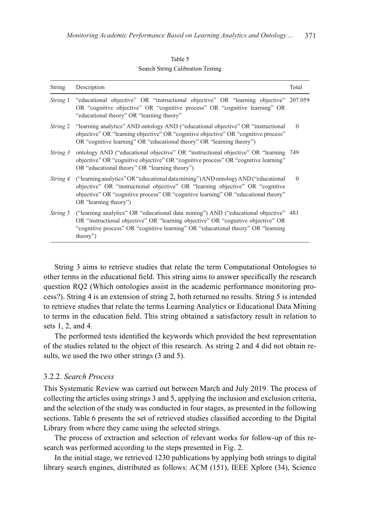#### Table 5 Search String Calibration Testing

| <b>String</b>   | Description                                                                                                                                                                                                                                                                         | Total    |
|-----------------|-------------------------------------------------------------------------------------------------------------------------------------------------------------------------------------------------------------------------------------------------------------------------------------|----------|
|                 | <i>String</i> 1 "educational objective" OR "instructional objective" OR "learning objective" 207.059<br>OR "cognitive objective" OR "cognitive process" OR "cognitive learning" OR<br>"educational theory" OR "learning theory"                                                     |          |
|                 | <i>String</i> 2 "learning analytics" AND ontology AND ("educational objective" OR "instructional<br>objective" OR "learning objective" OR "cognitive objective" OR "cognitive process"<br>OR "cognitive learning" OR "educational theory" OR "learning theory")                     | $\Omega$ |
| String 3        | ontology AND ("educational objective" OR "instructional objective" OR "learning 749<br>objective" OR "cognitive objective" OR "cognitive process" OR "cognitive learning"<br>OR "educational theory" OR "learning theory")                                                          |          |
| String 4        | ("learning analytics" OR "educational data mining") AND ontology AND ("educational")<br>objective" OR "instructional objective" OR "learning objective" OR "cognitive<br>objective" OR "cognitive process" OR "cognitive learning" OR "educational theory"<br>OR "learning theory") | $\theta$ |
| <i>String</i> 5 | ("learning analytics" OR "educational data mining") AND ("educational objective" 481<br>OR "instructional objective" OR "learning objective" OR "cognitive objective" OR<br>"cognitive process" OR "cognitive learning" OR "educational theory" OR "learning"<br>theory")           |          |

String 3 aims to retrieve studies that relate the term Computational Ontologies to other terms in the educational field. This string aims to answer specifically the research question RQ2 (Which ontologies assist in the academic performance monitoring process?). String 4 is an extension of string 2, both returned no results. String 5 is intended to retrieve studies that relate the terms Learning Analytics or Educational Data Mining to terms in the education field. This string obtained a satisfactory result in relation to sets 1, 2, and 4.

The performed tests identified the keywords which provided the best representation of the studies related to the object of this research. As string 2 and 4 did not obtain results, we used the two other strings (3 and 5).

## 3.2.2. *Search Process*

This Systematic Review was carried out between March and July 2019. The process of collecting the articles using strings 3 and 5, applying the inclusion and exclusion criteria, and the selection of the study was conducted in four stages, as presented in the following sections. Table 6 presents the set of retrieved studies classified according to the Digital Library from where they came using the selected strings.

The process of extraction and selection of relevant works for follow-up of this research was performed according to the steps presented in Fig. 2.

In the initial stage, we retrieved 1230 publications by applying both strings to digital library search engines, distributed as follows: ACM (151), IEEE Xplore (34), Science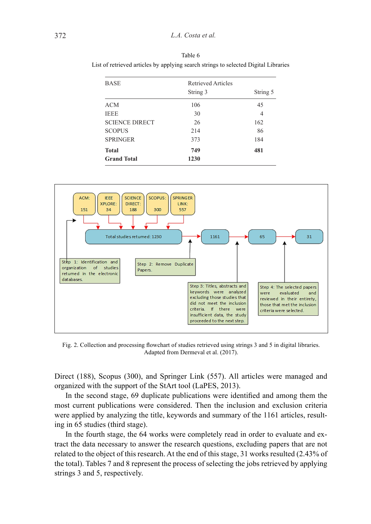| <b>BASE</b>           | Retrieved Articles |          |
|-----------------------|--------------------|----------|
|                       | String 3           | String 5 |
| <b>ACM</b>            | 106                | 45       |
| <b>IEEE</b>           | 30                 | 4        |
| <b>SCIENCE DIRECT</b> | 26                 | 162      |
| <b>SCOPUS</b>         | 214                | 86       |
| <b>SPRINGER</b>       | 373                | 184      |
| <b>Total</b>          | 749                | 481      |
| <b>Grand Total</b>    | 1230               |          |

Table 6 List of retrieved articles by applying search strings to selected Digital Libraries



Fig. 2. Collection and processing flowchart of studies retrieved using strings 3 and 5 in digital libraries. Adapted from Dermeval et al. (2017).

Direct (188), Scopus (300), and Springer Link (557). All articles were managed and organized with the support of the StArt tool (LaPES, 2013).

In the second stage, 69 duplicate publications were identified and among them the most current publications were considered. Then the inclusion and exclusion criteria were applied by analyzing the title, keywords and summary of the 1161 articles, resulting in 65 studies (third stage).

In the fourth stage, the 64 works were completely read in order to evaluate and extract the data necessary to answer the research questions, excluding papers that are not related to the object of this research. At the end of this stage, 31 works resulted (2.43% of the total). Tables 7 and 8 represent the process of selecting the jobs retrieved by applying strings 3 and 5, respectively.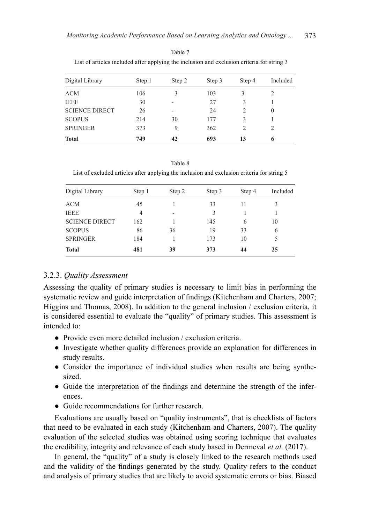| Digital Library       | Step 1 | Step 2 | Step 3 | Step 4 | Included |
|-----------------------|--------|--------|--------|--------|----------|
| <b>ACM</b>            | 106    | 3      | 103    | 3      |          |
| <b>IEEE</b>           | 30     |        | 27     | 3      |          |
| <b>SCIENCE DIRECT</b> | 26     | ۰      | 24     | 2      | $\theta$ |
| <b>SCOPUS</b>         | 214    | 30     | 177    | 3      |          |
| <b>SPRINGER</b>       | 373    | 9      | 362    | 2      | 2        |
| <b>Total</b>          | 749    | 42     | 693    | 13     | 6        |

Table 7 List of articles included after applying the inclusion and exclusion criteria for string 3

Table 8 List of excluded articles after applying the inclusion and exclusion criteria for string 5

| Digital Library       | Step 1 | Step 2 | Step 3 | Step 4 | Included |
|-----------------------|--------|--------|--------|--------|----------|
| <b>ACM</b>            | 45     |        | 33     | 11     | 3        |
| <b>IEEE</b>           | 4      | -      | 3      |        |          |
| <b>SCIENCE DIRECT</b> | 162    |        | 145    | 6      | 10       |
| <b>SCOPUS</b>         | 86     | 36     | 19     | 33     | 6        |
| <b>SPRINGER</b>       | 184    |        | 173    | 10     | 5        |
| <b>Total</b>          | 481    | 39     | 373    | 44     | 25       |

## 3.2.3. *Quality Assessment*

Assessing the quality of primary studies is necessary to limit bias in performing the systematic review and guide interpretation of findings (Kitchenham and Charters, 2007; Higgins and Thomas, 2008). In addition to the general inclusion / exclusion criteria, it is considered essential to evaluate the "quality" of primary studies. This assessment is intended to:

- Provide even more detailed inclusion / exclusion criteria.
- Investigate whether quality differences provide an explanation for differences in study results.
- Consider the importance of individual studies when results are being synthesized.
- Guide the interpretation of the findings and determine the strength of the inferences.
- Guide recommendations for further research.

Evaluations are usually based on "quality instruments", that is checklists of factors that need to be evaluated in each study (Kitchenham and Charters, 2007). The quality evaluation of the selected studies was obtained using scoring technique that evaluates the credibility, integrity and relevance of each study based in Dermeval *et al.* (2017).

In general, the "quality" of a study is closely linked to the research methods used and the validity of the findings generated by the study. Quality refers to the conduct and analysis of primary studies that are likely to avoid systematic errors or bias. Biased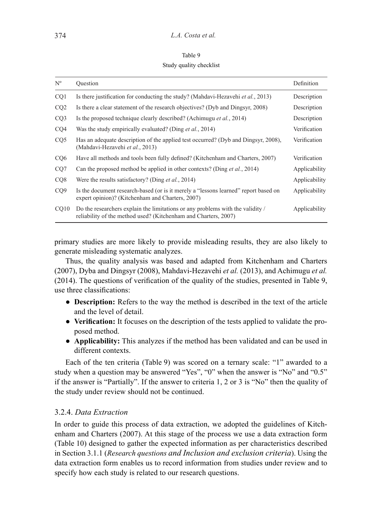Table 9 Study quality checklist

| $N^{\rm o}$     | Ouestion                                                                                                                                          | Definition    |
|-----------------|---------------------------------------------------------------------------------------------------------------------------------------------------|---------------|
| CO <sub>1</sub> | Is there justification for conducting the study? (Mahdavi-Hezavehi et al., 2013)                                                                  | Description   |
| CQ2             | Is there a clear statement of the research objectives? (Dyb and Dingsyr, 2008)                                                                    | Description   |
| CQ3             | Is the proposed technique clearly described? (Achimugu <i>et al.</i> , 2014)                                                                      | Description   |
| CQ4             | Was the study empirically evaluated? (Ding <i>et al.</i> , 2014)                                                                                  | Verification  |
| CQ5             | Has an adequate description of the applied test occurred? (Dyb and Dingsyr, 2008),<br>(Mahdavi-Hezavehi et al., 2013)                             | Verification  |
| CQ <sub>6</sub> | Have all methods and tools been fully defined? (Kitchenham and Charters, 2007)                                                                    | Verification  |
| CQ7             | Can the proposed method be applied in other contexts? (Ding <i>et al.</i> , 2014)                                                                 | Applicability |
| CQ <sub>8</sub> | Were the results satisfactory? (Ding <i>et al.</i> , 2014)                                                                                        | Applicability |
| CQ <sub>9</sub> | Is the document research-based (or is it merely a "lessons learned" report based on<br>expert opinion)? (Kitchenham and Charters, 2007)           | Applicability |
| CQ10            | Do the researchers explain the limitations or any problems with the validity /<br>reliability of the method used? (Kitchenham and Charters, 2007) | Applicability |

primary studies are more likely to provide misleading results, they are also likely to generate misleading systematic analyzes.

Thus, the quality analysis was based and adapted from Kitchenham and Charters (2007), Dyba and Dingsyr (2008), Mahdavi-Hezavehi *et al.* (2013), and Achimugu *et al.* (2014). The questions of verification of the quality of the studies, presented in Table 9, use three classifications:

- **Description:** Refers to the way the method is described in the text of the article and the level of detail.
- **Verification:** It focuses on the description of the tests applied to validate the proposed method.
- **Applicability:** This analyzes if the method has been validated and can be used in different contexts.

Each of the ten criteria (Table 9) was scored on a ternary scale: "1" awarded to a study when a question may be answered "Yes", "0" when the answer is "No" and "0.5" if the answer is "Partially". If the answer to criteria 1, 2 or 3 is "No" then the quality of the study under review should not be continued.

## 3.2.4. *Data Extraction*

In order to guide this process of data extraction, we adopted the guidelines of Kitchenham and Charters (2007). At this stage of the process we use a data extraction form (Table 10) designed to gather the expected information as per characteristics described in Section 3.1.1 (*Research questions and Inclusion and exclusion criteria*). Using the data extraction form enables us to record information from studies under review and to specify how each study is related to our research questions.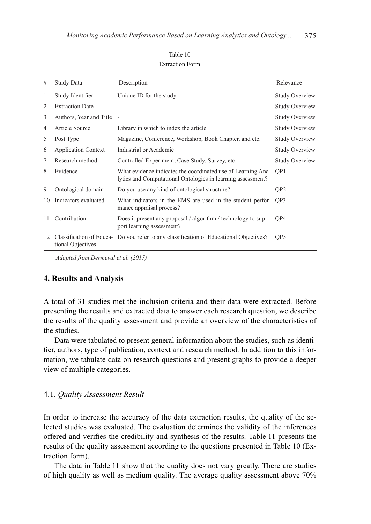| #  | Study Data                 | Description                                                                                                                 | Relevance             |
|----|----------------------------|-----------------------------------------------------------------------------------------------------------------------------|-----------------------|
|    |                            |                                                                                                                             |                       |
| 1  | Study Identifier           | Unique ID for the study                                                                                                     | <b>Study Overview</b> |
| 2  | <b>Extraction Date</b>     |                                                                                                                             | <b>Study Overview</b> |
| 3  | Authors, Year and Title    | $\sim$                                                                                                                      | <b>Study Overview</b> |
| 4  | Article Source             | Library in which to index the article                                                                                       | <b>Study Overview</b> |
| 5  | Post Type                  | Magazine, Conference, Workshop, Book Chapter, and etc.                                                                      | <b>Study Overview</b> |
| 6  | <b>Application Context</b> | Industrial or Academic                                                                                                      | <b>Study Overview</b> |
| 7  | Research method            | Controlled Experiment, Case Study, Survey, etc.                                                                             | <b>Study Overview</b> |
| 8  | Evidence                   | What evidence indicates the coordinated use of Learning Ana-<br>lytics and Computational Ontologies in learning assessment? | OP <sub>1</sub>       |
| 9  | Ontological domain         | Do you use any kind of ontological structure?                                                                               | QP <sub>2</sub>       |
| 10 | Indicators evaluated       | What indicators in the EMS are used in the student perfor-<br>mance appraisal process?                                      | OP3                   |
| 11 | Contribution               | Does it present any proposal / algorithm / technology to sup-<br>port learning assessment?                                  | QP4                   |
| 12 | tional Objectives          | Classification of Educa- Do you refer to any classification of Educational Objectives?                                      | OP <sub>5</sub>       |

#### Table 10 Extraction Form

 *Adapted from Dermeval et al. (2017)*

## **4. Results and Analysis**

A total of 31 studies met the inclusion criteria and their data were extracted. Before presenting the results and extracted data to answer each research question, we describe the results of the quality assessment and provide an overview of the characteristics of the studies.

Data were tabulated to present general information about the studies, such as identifier, authors, type of publication, context and research method. In addition to this information, we tabulate data on research questions and present graphs to provide a deeper view of multiple categories.

#### 4.1. *Quality Assessment Result*

In order to increase the accuracy of the data extraction results, the quality of the selected studies was evaluated. The evaluation determines the validity of the inferences offered and verifies the credibility and synthesis of the results. Table 11 presents the results of the quality assessment according to the questions presented in Table 10 (Extraction form).

The data in Table 11 show that the quality does not vary greatly. There are studies of high quality as well as medium quality. The average quality assessment above 70%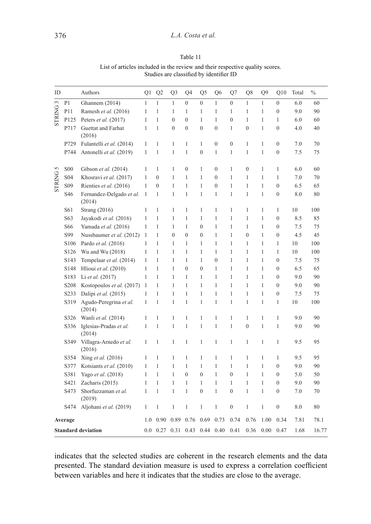| ID                        |                   | Authors                            | Q1           | Q2             | Q3             | Q <sub>4</sub>   | Q <sub>5</sub>   | Q6             | Q7             | Q8             | O <sub>9</sub> | O10            | Total | $\frac{0}{0}$ |
|---------------------------|-------------------|------------------------------------|--------------|----------------|----------------|------------------|------------------|----------------|----------------|----------------|----------------|----------------|-------|---------------|
|                           | P1                | Ghannem (2014)                     | $\mathbf{1}$ | $\mathbf{1}$   | $\mathbf{1}$   | $\mathbf{0}$     | $\boldsymbol{0}$ | $\mathbf{1}$   | $\mathbf{0}$   | $\mathbf{1}$   | $\mathbf{1}$   | $\overline{0}$ | 6.0   | 60            |
| <b>STRING3</b>            | P11               | Ramesh et al. (2016)               | 1            | 1              | 1              | 1                | 1                | 1              | $\mathbf{1}$   | $\mathbf{1}$   | $\mathbf{1}$   | $\theta$       | 9.0   | 90            |
|                           | P125              | Peters et al. (2017)               | $\mathbf{1}$ | $\mathbf{1}$   | $\overline{0}$ | $\boldsymbol{0}$ | $\mathbf{1}$     | $\mathbf{1}$   | $\overline{0}$ | $\mathbf{1}$   | $\mathbf{1}$   | $\mathbf{1}$   | 6.0   | 60            |
|                           | P717              | Guettat and Farhat<br>(2016)       | 1            | $\mathbf{1}$   | $\overline{0}$ | $\mathbf{0}$     | $\mathbf{0}$     | $\overline{0}$ | $\mathbf{1}$   | $\mathbf{0}$   | 1              | $\mathbf{0}$   | 4.0   | 40            |
|                           | P729              | Fulantelli et al. (2014)           | 1            | 1              | $\mathbf{1}$   | 1                | 1                | $\mathbf{0}$   | $\mathbf{0}$   | $\mathbf{1}$   | 1              | $\mathbf{0}$   | 7.0   | 70            |
|                           | P744              | Antonelli et al. (2019)            | 1            | $\mathbf{1}$   | $\mathbf{1}$   | $\mathbf{1}$     | $\mathbf{0}$     | $\mathbf{1}$   | $\mathbf{1}$   | $\mathbf{1}$   | $\mathbf{1}$   | $\theta$       | 7.5   | 75            |
| 5                         | <b>S00</b>        | Gibson et al. (2014)               | 1            | 1              | 1              | $\mathbf{0}$     | 1                | $\overline{0}$ | 1              | $\overline{0}$ | 1              | 1              | 6.0   | 60            |
| <b>STRING</b>             | S <sub>04</sub>   | Khosravi et al. (2017)             | 1            | $\overline{0}$ | $\mathbf{1}$   | 1                | 1                | $\overline{0}$ | $\mathbf{1}$   | $\mathbf{1}$   | $\mathbf{1}$   | $\mathbf{1}$   | 7.0   | 70            |
|                           | S <sub>09</sub>   | Rienties et al. (2016)             | 1            | $\mathbf{0}$   | $\mathbf{1}$   | 1                | 1                | $\overline{0}$ | $\mathbf{1}$   | $\mathbf{1}$   | $\mathbf{1}$   | $\mathbf{0}$   | 6.5   | 65            |
|                           | S46               | Fernandez-Delgado et al.<br>(2014) | $\mathbf{1}$ | $\mathbf{1}$   | $\mathbf{1}$   | $\mathbf{1}$     | 1                | 1              | $\mathbf{1}$   | $\mathbf{1}$   | $\mathbf{1}$   | $\mathbf{0}$   | 8.0   | 80            |
|                           | S61               | Strang $(2016)$                    | 1            | 1              | $\mathbf{1}$   | 1                | 1                | 1              | $\mathbf{1}$   | $\mathbf{1}$   | 1              | 1              | 10    | 100           |
|                           | S63               | Jayakodi et al. (2016)             | 1            | 1              | $\mathbf{1}$   | 1                | 1                | 1              | $\mathbf{1}$   | 1              | 1              | $\mathbf{0}$   | 8.5   | 85            |
|                           | S66               | Yamada et al. (2016)               | 1            | 1              | $\mathbf{1}$   | 1                | $\mathbf{0}$     | 1              | $\mathbf{1}$   | $\mathbf{1}$   | 1              | $\mathbf{0}$   | 7.5   | 75            |
|                           | S99               | Nussbaumer et al. (2012)           | 1            | 1              | $\overline{0}$ | $\mathbf{0}$     | $\mathbf{0}$     | 1              | $\mathbf{1}$   | $\overline{0}$ | 1              | $\mathbf{0}$   | 4.5   | 45            |
|                           | S106              | Pardo et al. (2016)                | 1            | 1              | $\mathbf{1}$   | 1                | 1                | 1              | $\mathbf{1}$   | $\mathbf{1}$   | $\mathbf{1}$   | 1              | 10    | 100           |
|                           | S126              | Wu and Wu (2018)                   | $\mathbf{1}$ | $\mathbf{1}$   | $\mathbf{1}$   | $\mathbf{1}$     | $\mathbf{1}$     | $\mathbf{1}$   | $\mathbf{1}$   | $\mathbf{1}$   | $\mathbf{1}$   | $\mathbf{1}$   | 10    | 100           |
|                           | S143              | Tempelaar et al. (2014)            | 1            | 1              | $\mathbf{1}$   | 1                | 1                | $\overline{0}$ | $\mathbf{1}$   | $\mathbf{1}$   | $\mathbf{1}$   | $\mathbf{0}$   | 7.5   | 75            |
|                           | S <sub>148</sub>  | Hlioui et al. (2010)               | 1            | 1              | $\mathbf{1}$   | $\mathbf{0}$     | $\mathbf{0}$     | 1              | $\mathbf{1}$   | $\mathbf{1}$   | $\mathbf{1}$   | $\mathbf{0}$   | 6.5   | 65            |
|                           | S183              | Li et al. (2017)                   | 1            | 1              | 1              | 1                | 1                | 1              | 1              | 1              | 1              | $\theta$       | 9.0   | 90            |
|                           | S <sub>208</sub>  | Kostopoulos et al. (2017)          | 1            | 1              | $\mathbf{1}$   | $\mathbf{1}$     | $\mathbf{1}$     | $\mathbf{1}$   | $\mathbf{1}$   | $\mathbf{1}$   | $\mathbf{1}$   | $\mathbf{0}$   | 9.0   | 90            |
|                           | S <sub>2</sub> 33 | Dalipi et al. (2015)               | 1            | 1              | $\mathbf{1}$   | 1                | 1                | 1              | $\mathbf{1}$   | $\mathbf{1}$   | 1              | $\mathbf{0}$   | 7.5   | 75            |
|                           | S319              | Agudo-Peregrina et al.<br>(2014)   | 1            | $\mathbf{1}$   | $\mathbf{1}$   | $\mathbf{1}$     | $\mathbf{1}$     | $\mathbf{1}$   | $\mathbf{1}$   | $\mathbf{1}$   | $\mathbf{1}$   | 1              | 10    | 100           |
|                           | S326              | Wanli et al. (2014)                | 1            | 1              | 1              | 1                | 1                | 1              | 1              | $\mathbf{1}$   | 1              | 1              | 9.0   | 90            |
|                           | S336              | Iglesias-Pradas et al.<br>(2014)   | 1            | $\mathbf{1}$   | $\mathbf{1}$   | $\mathbf{1}$     | $\mathbf{1}$     | $\mathbf{1}$   | $\mathbf{1}$   | $\overline{0}$ | $\mathbf{1}$   | $\mathbf{1}$   | 9.0   | 90            |
|                           | S349              | Villagra-Arnedo et al.<br>(2016)   | $\mathbf{1}$ | $\mathbf{1}$   | $\mathbf{1}$   | $\mathbf{1}$     | $\mathbf{1}$     | $\mathbf{1}$   | $\mathbf{1}$   | $\mathbf{1}$   | $\mathbf{1}$   | $\mathbf{1}$   | 9.5   | 95            |
|                           | S354              | Xing et al. (2016)                 | 1            | 1              | 1              | 1                | 1                | 1              | 1              | $\mathbf{1}$   | 1              | 1              | 9.5   | 95            |
|                           | S377              | Kotsiants et al. (2010)            | 1            | 1              | $\mathbf{1}$   | 1                | 1                | 1              | 1              | 1              | 1              | $\mathbf{0}$   | 9.0   | 90            |
|                           | S381              | Yago et al. (2018)                 | 1            | 1              | $\mathbf{1}$   | $\theta$         | $\mathbf{0}$     | 1              | $\overline{0}$ | $\mathbf{1}$   | $\mathbf{1}$   | $\theta$       | 5.0   | 50            |
|                           | S421              | Zacharis (2015)                    | 1            | 1              | 1              | 1                | 1                | 1              | $\mathbf{1}$   | $\mathbf{1}$   | 1              | $\mathbf{0}$   | 9.0   | 90            |
|                           | S473              | Shorfuzzaman et al.<br>(2019)      | 1            | $\mathbf{1}$   | $\mathbf{1}$   | 1                | $\mathbf{0}$     | 1              | $\overline{0}$ | $\mathbf{1}$   | $\mathbf{1}$   | $\mathbf{0}$   | 7.0   | 70            |
|                           | S474              | Aljohani et al. (2019)             | 1            | 1              | 1              | 1                | 1                | 1              | $\overline{0}$ | $\mathbf{1}$   | 1              | $\mathbf{0}$   | 8.0   | 80            |
|                           | Average           |                                    |              | 0.90           | 0.89           | 0.76             | 0.69             | 0.73           | 0.74           | 0.76           | 1.00           | 0.34           | 7.81  | 78.1          |
| <b>Standard deviation</b> |                   |                                    | 0.0          | 0.27           | 0.31           | 0.43             | 0.44             | 0.40           | 0.41           | 0.36           | 0.00           | 0.47           | 1.68  | 16.77         |

Table 11 List of articles included in the review and their respective quality scores. Studies are classified by identifier ID

indicates that the selected studies are coherent in the research elements and the data presented. The standard deviation measure is used to express a correlation coefficient between variables and here it indicates that the studies are close to the average.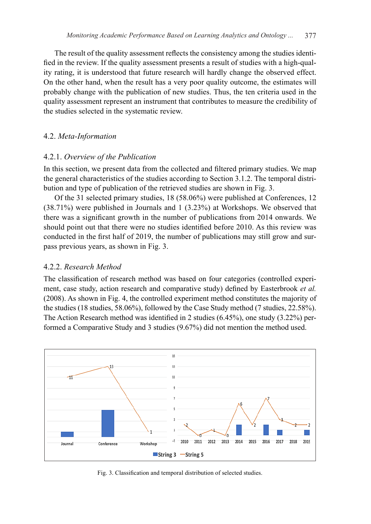The result of the quality assessment reflects the consistency among the studies identified in the review. If the quality assessment presents a result of studies with a high-quality rating, it is understood that future research will hardly change the observed effect. On the other hand, when the result has a very poor quality outcome, the estimates will probably change with the publication of new studies. Thus, the ten criteria used in the quality assessment represent an instrument that contributes to measure the credibility of the studies selected in the systematic review.

#### 4.2. *Meta-Information*

#### 4.2.1. *Overview of the Publication*

In this section, we present data from the collected and filtered primary studies. We map the general characteristics of the studies according to Section 3.1.2. The temporal distribution and type of publication of the retrieved studies are shown in Fig. 3.

Of the 31 selected primary studies, 18 (58.06%) were published at Conferences, 12 (38.71%) were published in Journals and 1 (3.23%) at Workshops. We observed that there was a significant growth in the number of publications from 2014 onwards. We should point out that there were no studies identified before 2010. As this review was conducted in the first half of 2019, the number of publications may still grow and surpass previous years, as shown in Fig. 3.

#### 4.2.2. *Research Method*

The classification of research method was based on four categories (controlled experiment, case study, action research and comparative study) defined by Easterbrook *et al.* (2008). As shown in Fig. 4, the controlled experiment method constitutes the majority of the studies (18 studies, 58.06%), followed by the Case Study method (7 studies, 22.58%). The Action Research method was identified in 2 studies (6.45%), one study (3.22%) performed a Comparative Study and 3 studies (9.67%) did not mention the method used.



Fig. 3. Classification and temporal distribution of selected studies.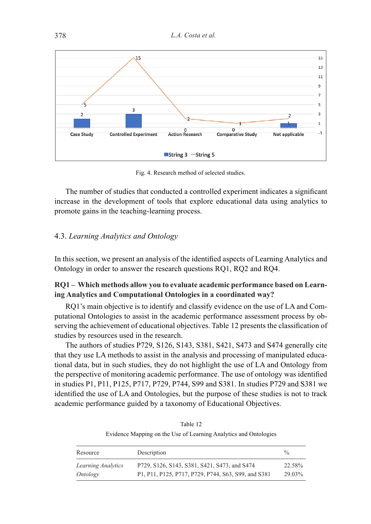

Fig. 4. Research method of selected studies.

The number of studies that conducted a controlled experiment indicates a significant increase in the development of tools that explore educational data using analytics to promote gains in the teaching-learning process.

## 4.3. *Learning Analytics and Ontology*

In this section, we present an analysis of the identified aspects of Learning Analytics and Ontology in order to answer the research questions RQ1, RQ2 and RQ4.

## **RQ1 – Which methods allow you to evaluate academic performance based on Learning Analytics and Computational Ontologies in a coordinated way?**

RQ1's main objective is to identify and classify evidence on the use of LA and Computational Ontologies to assist in the academic performance assessment process by observing the achievement of educational objectives. Table 12 presents the classification of studies by resources used in the research.

The authors of studies P729, S126, S143, S381, S421, S473 and S474 generally cite that they use LA methods to assist in the analysis and processing of manipulated educational data, but in such studies, they do not highlight the use of LA and Ontology from the perspective of monitoring academic performance. The use of ontology was identified in studies P1, P11, P125, P717, P729, P744, S99 and S381. In studies P729 and S381 we identified the use of LA and Ontologies, but the purpose of these studies is not to track academic performance guided by a taxonomy of Educational Objectives.

Table 12 Evidence Mapping on the Use of Learning Analytics and Ontologies

| Resource           | Description                                         | $\frac{0}{0}$ |
|--------------------|-----------------------------------------------------|---------------|
| Learning Analytics | P729, S126, S143, S381, S421, S473, and S474        | 22.58%        |
| Ontology           | P1, P11, P125, P717, P729, P744, S63, S99, and S381 | 29.03%        |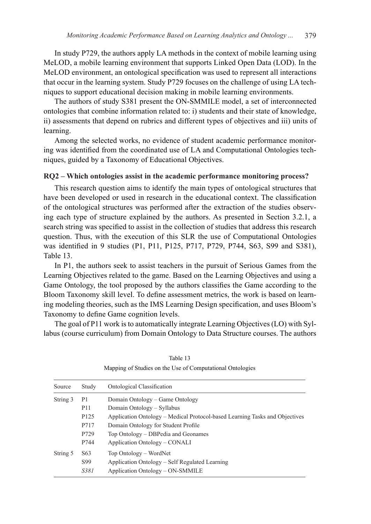In study P729, the authors apply LA methods in the context of mobile learning using MeLOD, a mobile learning environment that supports Linked Open Data (LOD). In the MeLOD environment, an ontological specification was used to represent all interactions that occur in the learning system. Study P729 focuses on the challenge of using LA techniques to support educational decision making in mobile learning environments.

The authors of study S381 present the ON-SMMILE model, a set of interconnected ontologies that combine information related to: i) students and their state of knowledge, ii) assessments that depend on rubrics and different types of objectives and iii) units of learning.

Among the selected works, no evidence of student academic performance monitoring was identified from the coordinated use of LA and Computational Ontologies techniques, guided by a Taxonomy of Educational Objectives.

#### **RQ2 – Which ontologies assist in the academic performance monitoring process?**

This research question aims to identify the main types of ontological structures that have been developed or used in research in the educational context. The classification of the ontological structures was performed after the extraction of the studies observing each type of structure explained by the authors. As presented in Section 3.2.1, a search string was specified to assist in the collection of studies that address this research question. Thus, with the execution of this SLR the use of Computational Ontologies was identified in 9 studies (P1, P11, P125, P717, P729, P744, S63, S99 and S381), Table 13.

In P1, the authors seek to assist teachers in the pursuit of Serious Games from the Learning Objectives related to the game. Based on the Learning Objectives and using a Game Ontology, the tool proposed by the authors classifies the Game according to the Bloom Taxonomy skill level. To define assessment metrics, the work is based on learning modeling theories, such as the IMS Learning Design specification, and uses Bloom's Taxonomy to define Game cognition levels.

The goal of P11 work is to automatically integrate Learning Objectives (LO) with Syllabus (course curriculum) from Domain Ontology to Data Structure courses. The authors

| Source   | Study            | Ontological Classification                                                  |
|----------|------------------|-----------------------------------------------------------------------------|
| String 3 | P1               | Domain Ontology – Game Ontology                                             |
|          | <b>P11</b>       | Domain Ontology – Syllabus                                                  |
|          | P <sub>125</sub> | Application Ontology – Medical Protocol-based Learning Tasks and Objectives |
|          | P717             | Domain Ontology for Student Profile                                         |
|          | P729             | Top Ontology – DBPedia and Geonames                                         |
|          | P744             | Application Ontology – CONALI                                               |
| String 5 | S <sub>6</sub> 3 | Top Ontology – WordNet                                                      |
|          | S99              | Application Ontology – Self Regulated Learning                              |
|          | <i>S381</i>      | Application Ontology – ON-SMMILE                                            |

Table 13 Mapping of Studies on the Use of Computational Ontologies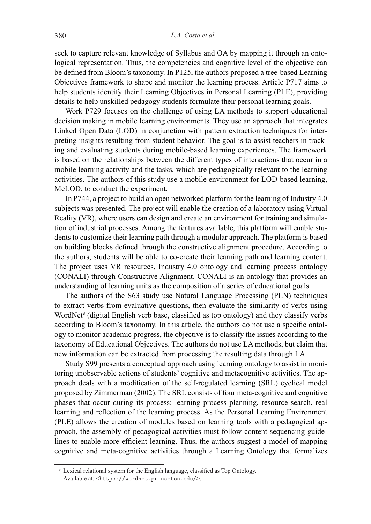seek to capture relevant knowledge of Syllabus and OA by mapping it through an ontological representation. Thus, the competencies and cognitive level of the objective can be defined from Bloom's taxonomy. In P125, the authors proposed a tree-based Learning Objectives framework to shape and monitor the learning process. Article P717 aims to help students identify their Learning Objectives in Personal Learning (PLE), providing details to help unskilled pedagogy students formulate their personal learning goals.

Work P729 focuses on the challenge of using LA methods to support educational decision making in mobile learning environments. They use an approach that integrates Linked Open Data (LOD) in conjunction with pattern extraction techniques for interpreting insights resulting from student behavior. The goal is to assist teachers in tracking and evaluating students during mobile-based learning experiences. The framework is based on the relationships between the different types of interactions that occur in a mobile learning activity and the tasks, which are pedagogically relevant to the learning activities. The authors of this study use a mobile environment for LOD-based learning, MeLOD, to conduct the experiment.

In P744, a project to build an open networked platform for the learning of Industry 4.0 subjects was presented. The project will enable the creation of a laboratory using Virtual Reality (VR), where users can design and create an environment for training and simulation of industrial processes. Among the features available, this platform will enable students to customize their learning path through a modular approach. The platform is based on building blocks defined through the constructive alignment procedure. According to the authors, students will be able to co-create their learning path and learning content. The project uses VR resources, Industry 4.0 ontology and learning process ontology (CONALI) through Constructive Alignment. CONALI is an ontology that provides an understanding of learning units as the composition of a series of educational goals.

The authors of the S63 study use Natural Language Processing (PLN) techniques to extract verbs from evaluative questions, then evaluate the similarity of verbs using WordNet<sup>3</sup> (digital English verb base, classified as top ontology) and they classify verbs according to Bloom's taxonomy. In this article, the authors do not use a specific ontology to monitor academic progress, the objective is to classify the issues according to the taxonomy of Educational Objectives. The authors do not use LA methods, but claim that new information can be extracted from processing the resulting data through LA.

Study S99 presents a conceptual approach using learning ontology to assist in monitoring unobservable actions of students' cognitive and metacognitive activities. The approach deals with a modification of the self-regulated learning (SRL) cyclical model proposed by Zimmerman (2002). The SRL consists of four meta-cognitive and cognitive phases that occur during its process: learning process planning, resource search, real learning and reflection of the learning process. As the Personal Learning Environment (PLE) allows the creation of modules based on learning tools with a pedagogical approach, the assembly of pedagogical activities must follow content sequencing guidelines to enable more efficient learning. Thus, the authors suggest a model of mapping cognitive and meta-cognitive activities through a Learning Ontology that formalizes

<sup>&</sup>lt;sup>3</sup> Lexical relational system for the English language, classified as Top Ontology. Available at: <https://wordnet.princeton.edu/>.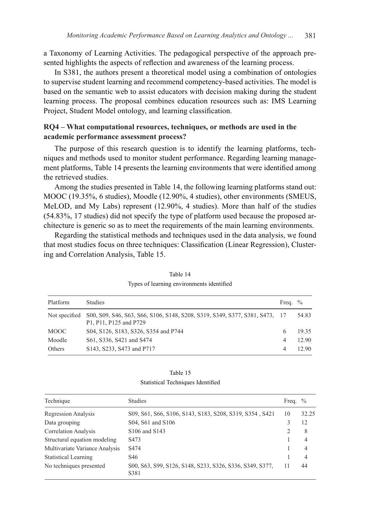a Taxonomy of Learning Activities. The pedagogical perspective of the approach presented highlights the aspects of reflection and awareness of the learning process.

In S381, the authors present a theoretical model using a combination of ontologies to supervise student learning and recommend competency-based activities. The model is based on the semantic web to assist educators with decision making during the student learning process. The proposal combines education resources such as: IMS Learning Project, Student Model ontology, and learning classification.

## **RQ4 – What computational resources, techniques, or methods are used in the academic performance assessment process?**

The purpose of this research question is to identify the learning platforms, techniques and methods used to monitor student performance. Regarding learning management platforms, Table 14 presents the learning environments that were identified among the retrieved studies.

Among the studies presented in Table 14, the following learning platforms stand out: MOOC (19.35%, 6 studies), Moodle (12.90%, 4 studies), other environments (SMEUS, MeLOD, and My Labs) represent (12.90%, 4 studies). More than half of the studies (54.83%, 17 studies) did not specify the type of platform used because the proposed architecture is generic so as to meet the requirements of the main learning environments.

Regarding the statistical methods and techniques used in the data analysis, we found that most studies focus on three techniques: Classification (Linear Regression), Clustering and Correlation Analysis, Table 15.

| Platform      | <b>Studies</b>                                                                                        | Freq. $\%$ |       |
|---------------|-------------------------------------------------------------------------------------------------------|------------|-------|
| Not specified | S00, S09, S46, S63, S66, S106, S148, S208, S319, S349, S377, S381, S473, 17<br>P1, P11, P125 and P729 |            | 54.83 |
| MOOC          | S04, S126, S183, S326, S354 and P744                                                                  |            | 19.35 |
| Moodle        | S61, S336, S421 and S474                                                                              | 4          | 12.90 |
| Others        | S143, S233, S473 and P717                                                                             |            | 12.90 |

Table 14 Types of learning environments identified

Table 15 Statistical Techniques Identified

| Technique                      | Studies                                                          | Freq. | $\frac{0}{0}$ |
|--------------------------------|------------------------------------------------------------------|-------|---------------|
| Regression Analysis            | S09, S61, S66, S106, S143, S183, S208, S319, S354, S421          | 10    | 32.25         |
| Data grouping                  | S04, S61 and S106                                                |       | 12            |
| <b>Correlation Analysis</b>    | S106 and S143                                                    |       | 8             |
| Structural equation modeling   | S <sub>473</sub>                                                 |       | 4             |
| Multivariate Variance Analysis | S <sub>474</sub>                                                 |       | 4             |
| <b>Statistical Learning</b>    | S46                                                              |       | 4             |
| No techniques presented        | S00, S63, S99, S126, S148, S233, S326, S336, S349, S377,<br>S381 |       | 44            |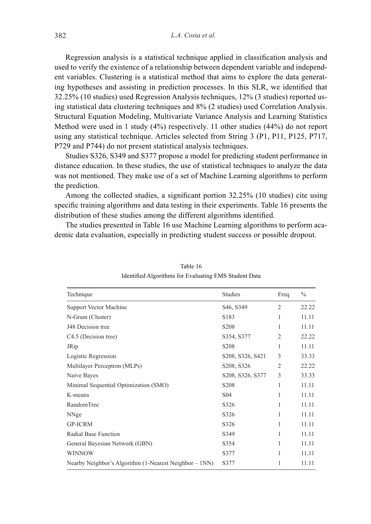Regression analysis is a statistical technique applied in classification analysis and used to verify the existence of a relationship between dependent variable and independent variables. Clustering is a statistical method that aims to explore the data generating hypotheses and assisting in prediction processes. In this SLR, we identified that 32.25% (10 studies) used Regression Analysis techniques, 12% (3 studies) reported using statistical data clustering techniques and 8% (2 studies) used Correlation Analysis. Structural Equation Modeling, Multivariate Variance Analysis and Learning Statistics Method were used in 1 study (4%) respectively. 11 other studies (44%) do not report using any statistical technique. Articles selected from String 3 (P1, P11, P125, P717, P729 and P744) do not present statistical analysis techniques.

Studies S326, S349 and S377 propose a model for predicting student performance in distance education. In these studies, the use of statistical techniques to analyze the data was not mentioned. They make use of a set of Machine Learning algorithms to perform the prediction.

Among the collected studies, a significant portion 32.25% (10 studies) cite using specific training algorithms and data testing in their experiments. Table 16 presents the distribution of these studies among the different algorithms identified.

The studies presented in Table 16 use Machine Learning algorithms to perform academic data evaluation, especially in predicting student success or possible dropout.

| Technique                                              | <b>Studies</b>                      | Freq.          | $\frac{0}{0}$ |
|--------------------------------------------------------|-------------------------------------|----------------|---------------|
| Support Vector Machine                                 | S <sub>46</sub> , S <sub>349</sub>  | $\overline{c}$ | 22.22         |
| N-Gram (Cluster)                                       | S <sub>18</sub> 3                   | 1              | 11.11         |
| J48 Decision tree                                      | S208                                |                | 11.11         |
| C <sub>4.5</sub> (Decision tree)                       | S354, S377                          | $\overline{c}$ | 22.22         |
| <b>JRip</b>                                            | S <sub>208</sub>                    |                | 11.11         |
| Logistic Regression                                    | S208, S326, S421                    | 3              | 33.33         |
| Multilayer Perceptron (MLPs)                           | S <sub>208</sub> , S <sub>326</sub> | $\overline{c}$ | 22.22         |
| Naive Bayes                                            | S208, S326, S377                    | 3              | 33.33         |
| Minimal Sequential Optimization (SMO)                  | S <sub>208</sub>                    | 1              | 11.11         |
| K-means                                                | S <sub>04</sub>                     |                | 11.11         |
| RandomTree                                             | S326                                | 1              | 11.11         |
| NNge                                                   | S326                                | 1              | 11.11         |
| <b>GP-ICRM</b>                                         | S326                                | 1              | 11.11         |
| Radial Base Function                                   | S349                                | 1              | 11.11         |
| General Bayesian Network (GBN)                         | S354                                | 1              | 11.11         |
| <b>WINNOW</b>                                          | S377                                | 1              | 11.11         |
| Nearby Neighbor's Algorithm (1-Nearest Neighbor – 1NN) | S377                                |                | 11.11         |

Table 16 Identified Algorithms for Evaluating EMS Student Data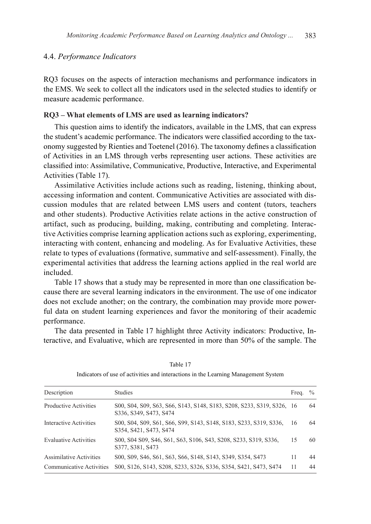#### 4.4. *Performance Indicators*

RQ3 focuses on the aspects of interaction mechanisms and performance indicators in the EMS. We seek to collect all the indicators used in the selected studies to identify or measure academic performance.

#### **RQ3 – What elements of LMS are used as learning indicators?**

This question aims to identify the indicators, available in the LMS, that can express the student's academic performance. The indicators were classified according to the taxonomy suggested by Rienties and Toetenel (2016). The taxonomy defines a classification of Activities in an LMS through verbs representing user actions. These activities are classified into: Assimilative, Communicative, Productive, Interactive, and Experimental Activities (Table 17).

Assimilative Activities include actions such as reading, listening, thinking about, accessing information and content. Communicative Activities are associated with discussion modules that are related between LMS users and content (tutors, teachers and other students). Productive Activities relate actions in the active construction of artifact, such as producing, building, making, contributing and completing. Interactive Activities comprise learning application actions such as exploring, experimenting, interacting with content, enhancing and modeling. As for Evaluative Activities, these relate to types of evaluations (formative, summative and self-assessment). Finally, the experimental activities that address the learning actions applied in the real world are included.

Table 17 shows that a study may be represented in more than one classification because there are several learning indicators in the environment. The use of one indicator does not exclude another; on the contrary, the combination may provide more powerful data on student learning experiences and favor the monitoring of their academic performance.

The data presented in Table 17 highlight three Activity indicators: Productive, Interactive, and Evaluative, which are represented in more than 50% of the sample. The

| Description                     | <b>Studies</b>                                                                                  | Freq. | $\frac{0}{0}$ |
|---------------------------------|-------------------------------------------------------------------------------------------------|-------|---------------|
| <b>Productive Activities</b>    | S00, S04, S09, S63, S66, S143, S148, S183, S208, S233, S319, S326, 16<br>S336, S349, S473, S474 |       | 64            |
| Interactive Activities          | S00, S04, S09, S61, S66, S99, S143, S148, S183, S233, S319, S336,<br>S354, S421, S473, S474     | 16    | 64            |
| <b>Evaluative Activities</b>    | S00, S04 S09, S46, S61, S63, S106, S43, S208, S233, S319, S336,<br>S377, S381, S473             | 15    | 60            |
| <b>Assimilative Activities</b>  | S00, S09, S46, S61, S63, S66, S148, S143, S349, S354, S473                                      | 11    | 44            |
| <b>Communicative Activities</b> | S00, S126, S143, S208, S233, S326, S336, S354, S421, S473, S474                                 | 11    | 44            |

Table 17 Indicators of use of activities and interactions in the Learning Management System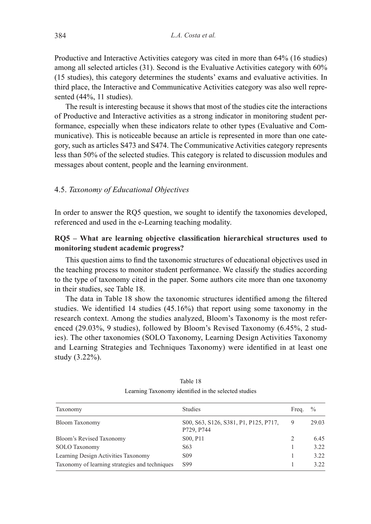Productive and Interactive Activities category was cited in more than 64% (16 studies) among all selected articles (31). Second is the Evaluative Activities category with 60% (15 studies), this category determines the students' exams and evaluative activities. In third place, the Interactive and Communicative Activities category was also well represented (44%, 11 studies).

The result is interesting because it shows that most of the studies cite the interactions of Productive and Interactive activities as a strong indicator in monitoring student performance, especially when these indicators relate to other types (Evaluative and Communicative). This is noticeable because an article is represented in more than one category, such as articles S473 and S474. The Communicative Activities category represents less than 50% of the selected studies. This category is related to discussion modules and messages about content, people and the learning environment.

#### 4.5. *Taxonomy of Educational Objectives*

In order to answer the RQ5 question, we sought to identify the taxonomies developed, referenced and used in the e-Learning teaching modality.

## **RQ5 – What are learning objective classification hierarchical structures used to monitoring student academic progress?**

This question aims to find the taxonomic structures of educational objectives used in the teaching process to monitor student performance. We classify the studies according to the type of taxonomy cited in the paper. Some authors cite more than one taxonomy in their studies, see Table 18.

The data in Table 18 show the taxonomic structures identified among the filtered studies. We identified 14 studies (45.16%) that report using some taxonomy in the research context. Among the studies analyzed, Bloom's Taxonomy is the most referenced (29.03%, 9 studies), followed by Bloom's Revised Taxonomy (6.45%, 2 studies). The other taxonomies (SOLO Taxonomy, Learning Design Activities Taxonomy and Learning Strategies and Techniques Taxonomy) were identified in at least one study (3.22%).

| Taxonomy                                       | <b>Studies</b>                                      | Freq.                    | $\%$  |
|------------------------------------------------|-----------------------------------------------------|--------------------------|-------|
| Bloom Taxonomy                                 | S00, S63, S126, S381, P1, P125, P717,<br>P729, P744 | 9                        | 29.03 |
| Bloom's Revised Taxonomy                       | S <sub>0</sub> 0, P <sub>11</sub>                   | $\mathfrak{D}_{1}^{(1)}$ | 6.45  |
| <b>SOLO</b> Taxonomy                           | S <sub>6</sub> 3                                    |                          | 3.22  |
| Learning Design Activities Taxonomy            | S <sub>09</sub>                                     |                          | 3.22  |
| Taxonomy of learning strategies and techniques | S99                                                 |                          | 3.22  |

Table 18 Learning Taxonomy identified in the selected studies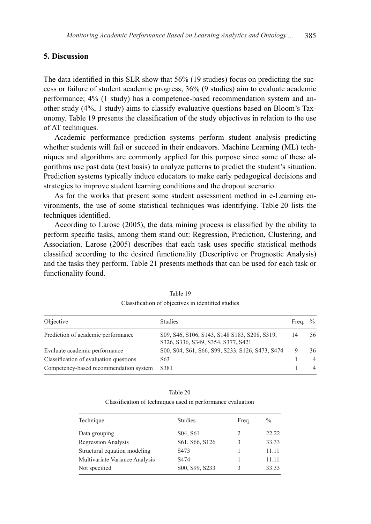## **5. Discussion**

The data identified in this SLR show that 56% (19 studies) focus on predicting the success or failure of student academic progress; 36% (9 studies) aim to evaluate academic performance; 4% (1 study) has a competence-based recommendation system and another study (4%, 1 study) aims to classify evaluative questions based on Bloom's Taxonomy. Table 19 presents the classification of the study objectives in relation to the use of AT techniques.

Academic performance prediction systems perform student analysis predicting whether students will fail or succeed in their endeavors. Machine Learning (ML) techniques and algorithms are commonly applied for this purpose since some of these algorithms use past data (test basis) to analyze patterns to predict the student's situation. Prediction systems typically induce educators to make early pedagogical decisions and strategies to improve student learning conditions and the dropout scenario.

As for the works that present some student assessment method in e-Learning environments, the use of some statistical techniques was identifying. Table 20 lists the techniques identified.

According to Larose (2005), the data mining process is classified by the ability to perform specific tasks, among them stand out: Regression, Prediction, Clustering, and Association. Larose (2005) describes that each task uses specific statistical methods classified according to the desired functionality (Descriptive or Prognostic Analysis) and the tasks they perform. Table 21 presents methods that can be used for each task or functionality found.

| Objective                              | <b>Studies</b>                                                                     | Freq. | $\frac{0}{0}$  |
|----------------------------------------|------------------------------------------------------------------------------------|-------|----------------|
| Prediction of academic performance     | S09, S46, S106, S143, S148 S183, S208, S319,<br>S326, S336, S349, S354, S377, S421 | 14    | 56             |
| Evaluate academic performance          | S00, S04, S61, S66, S99, S233, S126, S473, S474                                    |       | 36             |
| Classification of evaluation questions | S <sub>6</sub> 3                                                                   |       | $\overline{4}$ |
| Competency-based recommendation system | S381                                                                               |       | 4              |

| Table 19                                           |  |
|----------------------------------------------------|--|
| Classification of objectives in identified studies |  |

| Table 20                                                    |
|-------------------------------------------------------------|
| Classification of techniques used in performance evaluation |

| Technique                      | <b>Studies</b>                    | Freq. | $\frac{0}{0}$ |
|--------------------------------|-----------------------------------|-------|---------------|
| Data grouping                  | S <sub>04</sub> , S <sub>61</sub> | 2     | 22.22         |
| <b>Regression Analysis</b>     | S61, S66, S126                    | 3     | 33.33         |
| Structural equation modeling   | S <sub>473</sub>                  |       | 11.11         |
| Multivariate Variance Analysis | S <sub>474</sub>                  |       | 11.11         |
| Not specified                  | S00, S99, S233                    |       | 33.33         |
|                                |                                   |       |               |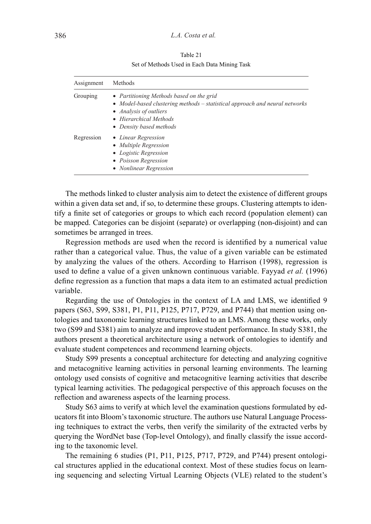Table 21 Set of Methods Used in Each Data Mining Task

| Assignment | Methods                                                                                                                                                                                                |  |  |  |  |  |  |
|------------|--------------------------------------------------------------------------------------------------------------------------------------------------------------------------------------------------------|--|--|--|--|--|--|
| Grouping   | • Partitioning Methods based on the grid<br>• Model-based clustering methods – statistical approach and neural networks<br>• Analysis of outliers<br>• Hierarchical Methods<br>• Density based methods |  |  |  |  |  |  |
| Regression | • Linear Regression<br>• Multiple Regression<br>• Logistic Regression<br>• Poisson Regression<br><b>Nonlinear Regression</b>                                                                           |  |  |  |  |  |  |

The methods linked to cluster analysis aim to detect the existence of different groups within a given data set and, if so, to determine these groups. Clustering attempts to identify a finite set of categories or groups to which each record (population element) can be mapped. Categories can be disjoint (separate) or overlapping (non-disjoint) and can sometimes be arranged in trees.

Regression methods are used when the record is identified by a numerical value rather than a categorical value. Thus, the value of a given variable can be estimated by analyzing the values of the others. According to Harrison (1998), regression is used to define a value of a given unknown continuous variable. Fayyad *et al.* (1996) define regression as a function that maps a data item to an estimated actual prediction variable.

Regarding the use of Ontologies in the context of LA and LMS, we identified 9 papers (S63, S99, S381, P1, P11, P125, P717, P729, and P744) that mention using ontologies and taxonomic learning structures linked to an LMS. Among these works, only two (S99 and S381) aim to analyze and improve student performance. In study S381, the authors present a theoretical architecture using a network of ontologies to identify and evaluate student competences and recommend learning objects.

Study S99 presents a conceptual architecture for detecting and analyzing cognitive and metacognitive learning activities in personal learning environments. The learning ontology used consists of cognitive and metacognitive learning activities that describe typical learning activities. The pedagogical perspective of this approach focuses on the reflection and awareness aspects of the learning process.

Study S63 aims to verify at which level the examination questions formulated by educators fit into Bloom's taxonomic structure. The authors use Natural Language Processing techniques to extract the verbs, then verify the similarity of the extracted verbs by querying the WordNet base (Top-level Ontology), and finally classify the issue according to the taxonomic level.

The remaining 6 studies (P1, P11, P125, P717, P729, and P744) present ontological structures applied in the educational context. Most of these studies focus on learning sequencing and selecting Virtual Learning Objects (VLE) related to the student's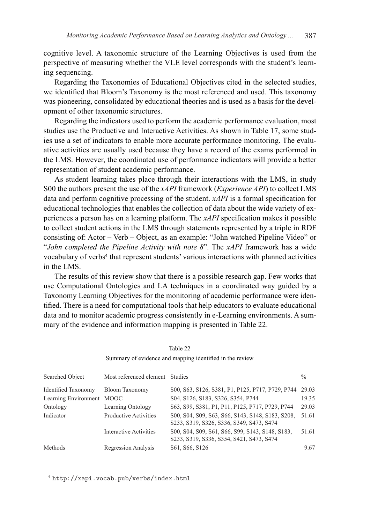cognitive level. A taxonomic structure of the Learning Objectives is used from the perspective of measuring whether the VLE level corresponds with the student's learning sequencing.

Regarding the Taxonomies of Educational Objectives cited in the selected studies, we identified that Bloom's Taxonomy is the most referenced and used. This taxonomy was pioneering, consolidated by educational theories and is used as a basis for the development of other taxonomic structures.

Regarding the indicators used to perform the academic performance evaluation, most studies use the Productive and Interactive Activities. As shown in Table 17, some studies use a set of indicators to enable more accurate performance monitoring. The evaluative activities are usually used because they have a record of the exams performed in the LMS. However, the coordinated use of performance indicators will provide a better representation of student academic performance.

As student learning takes place through their interactions with the LMS, in study S00 the authors present the use of the *xAPI* framework (*Experience API*) to collect LMS data and perform cognitive processing of the student. *xAPI* is a formal specification for educational technologies that enables the collection of data about the wide variety of experiences a person has on a learning platform. The *xAPI* specification makes it possible to collect student actions in the LMS through statements represented by a triple in RDF consisting of: Actor – Verb – Object, as an example: "John watched Pipeline Video" or "*John completed the Pipeline Activity with note 8*". The *xAPI* framework has a wide vocabulary of verbs<sup>4</sup> that represent students' various interactions with planned activities in the LMS.

The results of this review show that there is a possible research gap. Few works that use Computational Ontologies and LA techniques in a coordinated way guided by a Taxonomy Learning Objectives for the monitoring of academic performance were identified. There is a need for computational tools that help educators to evaluate educational data and to monitor academic progress consistently in e-Learning environments. A summary of the evidence and information mapping is presented in Table 22.

| Searched Object            | Most referenced element Studies |                                                                                              | $\frac{0}{0}$ |
|----------------------------|---------------------------------|----------------------------------------------------------------------------------------------|---------------|
| <b>Identified Taxonomy</b> | Bloom Taxonomy                  | S00, S63, S126, S381, P1, P125, P717, P729, P744                                             | 29.03         |
| Learning Environment       | <b>MOOC</b>                     | S04, S126, S183, S326, S354, P744                                                            | 19.35         |
| Ontology                   | Learning Ontology               | S63, S99, S381, P1, P11, P125, P717, P729, P744                                              | 29.03         |
| Indicator                  | <b>Productive Activities</b>    | S00, S04, S09, S63, S66, S143, S148, S183, S208,<br>S233, S319, S326, S336, S349, S473, S474 | 51.61         |
|                            | Interactive Activities          | S00, S04, S09, S61, S66, S99, S143, S148, S183,<br>S233, S319, S336, S354, S421, S473, S474  | 51.61         |
| Methods                    | <b>Regression Analysis</b>      | S61, S66, S126                                                                               | 9.67          |

Table 22 Summary of evidence and mapping identified in the review

<sup>4</sup> http://xapi.vocab.pub/verbs/index.html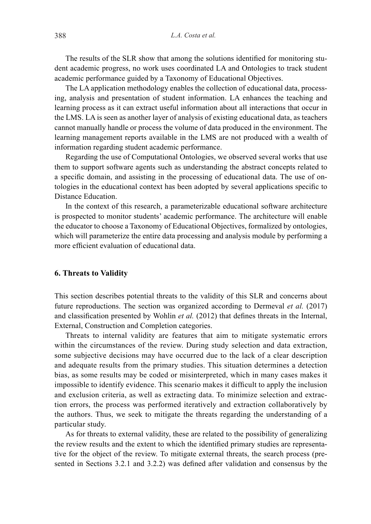The results of the SLR show that among the solutions identified for monitoring student academic progress, no work uses coordinated LA and Ontologies to track student academic performance guided by a Taxonomy of Educational Objectives.

The LA application methodology enables the collection of educational data, processing, analysis and presentation of student information. LA enhances the teaching and learning process as it can extract useful information about all interactions that occur in the LMS. LA is seen as another layer of analysis of existing educational data, as teachers cannot manually handle or process the volume of data produced in the environment. The learning management reports available in the LMS are not produced with a wealth of information regarding student academic performance.

Regarding the use of Computational Ontologies, we observed several works that use them to support software agents such as understanding the abstract concepts related to a specific domain, and assisting in the processing of educational data. The use of ontologies in the educational context has been adopted by several applications specific to Distance Education.

In the context of this research, a parameterizable educational software architecture is prospected to monitor students' academic performance. The architecture will enable the educator to choose a Taxonomy of Educational Objectives, formalized by ontologies, which will parameterize the entire data processing and analysis module by performing a more efficient evaluation of educational data.

#### **6. Threats to Validity**

This section describes potential threats to the validity of this SLR and concerns about future reproductions. The section was organized according to Dermeval *et al.* (2017) and classification presented by Wohlin *et al.* (2012) that defines threats in the Internal, External, Construction and Completion categories.

Threats to internal validity are features that aim to mitigate systematic errors within the circumstances of the review. During study selection and data extraction, some subjective decisions may have occurred due to the lack of a clear description and adequate results from the primary studies. This situation determines a detection bias, as some results may be coded or misinterpreted, which in many cases makes it impossible to identify evidence. This scenario makes it difficult to apply the inclusion and exclusion criteria, as well as extracting data. To minimize selection and extraction errors, the process was performed iteratively and extraction collaboratively by the authors. Thus, we seek to mitigate the threats regarding the understanding of a particular study.

As for threats to external validity, these are related to the possibility of generalizing the review results and the extent to which the identified primary studies are representative for the object of the review. To mitigate external threats, the search process (presented in Sections 3.2.1 and 3.2.2) was defined after validation and consensus by the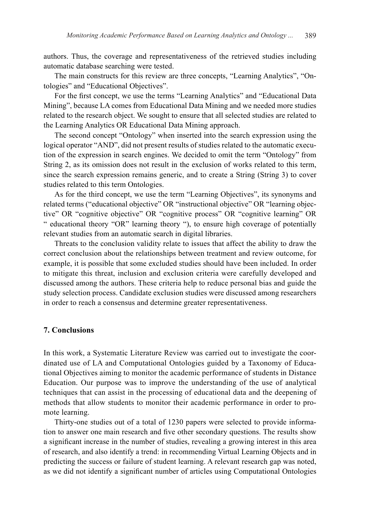authors. Thus, the coverage and representativeness of the retrieved studies including automatic database searching were tested.

The main constructs for this review are three concepts, "Learning Analytics", "Ontologies" and "Educational Objectives".

For the first concept, we use the terms "Learning Analytics" and "Educational Data Mining", because LA comes from Educational Data Mining and we needed more studies related to the research object. We sought to ensure that all selected studies are related to the Learning Analytics OR Educational Data Mining approach.

The second concept "Ontology" when inserted into the search expression using the logical operator "AND", did not present results of studies related to the automatic execution of the expression in search engines. We decided to omit the term "Ontology" from String 2, as its omission does not result in the exclusion of works related to this term, since the search expression remains generic, and to create a String (String 3) to cover studies related to this term Ontologies.

As for the third concept, we use the term "Learning Objectives", its synonyms and related terms ("educational objective" OR "instructional objective" OR "learning objective" OR "cognitive objective" OR "cognitive process" OR "cognitive learning" OR " educational theory "OR" learning theory "), to ensure high coverage of potentially relevant studies from an automatic search in digital libraries.

Threats to the conclusion validity relate to issues that affect the ability to draw the correct conclusion about the relationships between treatment and review outcome, for example, it is possible that some excluded studies should have been included. In order to mitigate this threat, inclusion and exclusion criteria were carefully developed and discussed among the authors. These criteria help to reduce personal bias and guide the study selection process. Candidate exclusion studies were discussed among researchers in order to reach a consensus and determine greater representativeness.

## **7. Conclusions**

In this work, a Systematic Literature Review was carried out to investigate the coordinated use of LA and Computational Ontologies guided by a Taxonomy of Educational Objectives aiming to monitor the academic performance of students in Distance Education. Our purpose was to improve the understanding of the use of analytical techniques that can assist in the processing of educational data and the deepening of methods that allow students to monitor their academic performance in order to promote learning.

Thirty-one studies out of a total of 1230 papers were selected to provide information to answer one main research and five other secondary questions. The results show a significant increase in the number of studies, revealing a growing interest in this area of research, and also identify a trend: in recommending Virtual Learning Objects and in predicting the success or failure of student learning. A relevant research gap was noted, as we did not identify a significant number of articles using Computational Ontologies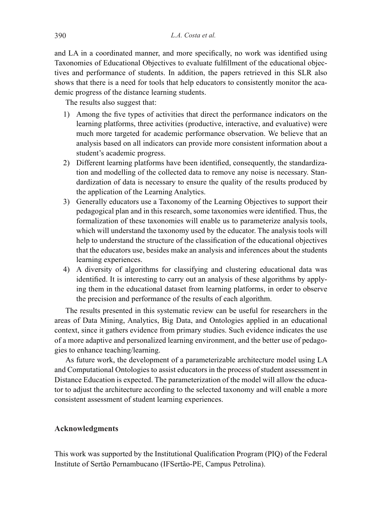and LA in a coordinated manner, and more specifically, no work was identified using Taxonomies of Educational Objectives to evaluate fulfillment of the educational objectives and performance of students. In addition, the papers retrieved in this SLR also shows that there is a need for tools that help educators to consistently monitor the academic progress of the distance learning students.

The results also suggest that:

- 1) Among the five types of activities that direct the performance indicators on the learning platforms, three activities (productive, interactive, and evaluative) were much more targeted for academic performance observation. We believe that an analysis based on all indicators can provide more consistent information about a student's academic progress.
- 2) Different learning platforms have been identified, consequently, the standardization and modelling of the collected data to remove any noise is necessary. Standardization of data is necessary to ensure the quality of the results produced by the application of the Learning Analytics.
- 3) Generally educators use a Taxonomy of the Learning Objectives to support their pedagogical plan and in this research, some taxonomies were identified. Thus, the formalization of these taxonomies will enable us to parameterize analysis tools, which will understand the taxonomy used by the educator. The analysis tools will help to understand the structure of the classification of the educational objectives that the educators use, besides make an analysis and inferences about the students learning experiences.
- 4) A diversity of algorithms for classifying and clustering educational data was identified. It is interesting to carry out an analysis of these algorithms by applying them in the educational dataset from learning platforms, in order to observe the precision and performance of the results of each algorithm.

The results presented in this systematic review can be useful for researchers in the areas of Data Mining, Analytics, Big Data, and Ontologies applied in an educational context, since it gathers evidence from primary studies. Such evidence indicates the use of a more adaptive and personalized learning environment, and the better use of pedagogies to enhance teaching/learning.

As future work, the development of a parameterizable architecture model using LA and Computational Ontologies to assist educators in the process of student assessment in Distance Education is expected. The parameterization of the model will allow the educator to adjust the architecture according to the selected taxonomy and will enable a more consistent assessment of student learning experiences.

## **Acknowledgments**

This work was supported by the Institutional Qualification Program (PIQ) of the Federal Institute of Sertão Pernambucano (IFSertão-PE, Campus Petrolina).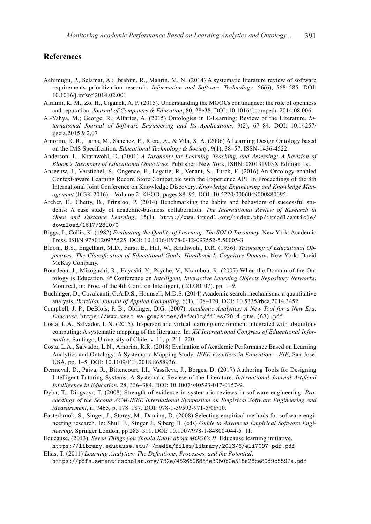## **References**

- Achimugu, P., Selamat, A.; Ibrahim, R., Mahrin, M. N. (2014) A systematic literature review of software requirements prioritization research. *Information and Software Technology*. 56(6), 568–585. DOI: 10.1016/j.infsof.2014.02.001
- Alraimi, K. M., Zo, H., Ciganek, A. P. (2015). Understanding the MOOCs continuance: the role of openness and reputation. *Journal of Computers & Education*, 80, 28e38. DOI: 10.1016/j.compedu.2014.08.006.
- Al-Yahya, M.; George, R.; Alfaries, A. (2015) Ontologies in E-Learning: Review of the Literature. *International Journal of Software Engineering and Its Applications*, 9(2), 67–84. DOI: 10.14257/ ijseia.2015.9.2.07
- Amorim, R. R., Lama, M., Sánchez, E., Riera, A., & Vila, X. A. (2006) A Learning Design Ontology based on the IMS Specification. *Educational Technology & Society*, 9(1), 38–57. ISSN-1436-4522.
- Anderson, L., Krathwohl, D. (2001) *A Taxonomy for Learning, Teaching, and Assessing: A Revision of Bloom's Taxonomy of Educational Objectives*. Publisher: New York, ISBN: 080131903X Edition: 1st.
- Anseeuw, J., Verstichel, S., Ongenae, F., Lagatie, R., Venant, S., Turck, F. (2016) An Ontology-enabled Context-aware Learning Record Store Compatible with the Experience API. In Proceedings of the 8th International Joint Conference on Knowledge Discovery, *Knowledge Engineering and Knowledge Management* (IC3K 2016) – Volume 2: KEOD, pages 88–95. DOI: 10.5220/0006049000880095.
- Archer, E., Chetty, B., Prinsloo, P. (2014) Benchmarking the habits and behaviors of successful students: A case study of academic-business collaboration. *The International Review of Research in Open and Distance Learning*, 15(1). http://www.irrodl.org/index.php/irrodl/article/ download/1617/2810/0
- Biggs, J., Collis, K. (1982) *Evaluating the Quality of Learning: The SOLO Taxonomy*. New York: Academic Press. ISBN 9780120975525. DOI: 10.1016/B978-0-12-097552-5.50005-3
- Bloom, B.S., Engelhart, M.D., Furst, E., Hill, W., Krathwohl, D.R. (1956). *Taxonomy of Educational Objectives: The Classification of Educational Goals. Handbook I: Cognitive Domain*. New York: David McKay Company.
- Bourdeau, J., Mizoguchi, R., Hayashi, Y., Psyche, V., Nkambou, R. (2007) When the Domain of the Ontology is Education, 4ª Conference on *Intelligent, Interactive Learning Objects Repository Networks*, Montreal, in: Proc. of the 4th Conf. on Intelligent, (I2LOR'07). pp. 1–9.
- Buchinger, D., Cavalcanti, G.A.D.S., Hounsell, M.D.S. (2014) Academic search mechanisms: a quantitative analysis. *Brazilian Journal of Applied Computing*, 6(1), 108–120. DOI: 10.5335/rbca.2014.3452
- Campbell, J. P., DeBlois, P. B., Oblinger, D.G. (2007). *Academic Analytics: A New Tool for a New Era. Educause*. https://www.wsac.wa.gov/sites/default/files/2014.ptw.(63).pdf
- Costa, L.A., Salvador, L.N. (2015). In-person and virtual learning environment integrated with ubiquitous computing: A systematic mapping of the literature. In: *XX International Congress of Educational Informatics*. Santiago, University of Chile, v. 11, p. 211–220.
- Costa, L.A., Salvador, L.N., Amorim, R.R. (2018) Evaluation of Academic Performance Based on Learning Analytics and Ontology: A Systematic Mapping Study. *IEEE Frontiers in Education – FIE*, San Jose, USA, pp. 1–5. DOI: 10.1109/FIE.2018.8658936.
- Dermeval, D., Paiva, R., Bittencourt, I.I., Vassileva, J., Borges, D. (2017) Authoring Tools for Designing Intelligent Tutoring Systems: A Systematic Review of the Literature. *International Journal Artificial Intelligence in Education*. 28, 336–384. DOI: 10.1007/s40593-017-0157-9.
- Dyba, T., Dingsoyr, T. (2008) Strength of evidence in systematic reviews in software engineering. *Proceedings of the Second ACM-IEEE International Symposium on Empirical Software Engineering and Measurement*, n. 7465, p. 178–187. DOI: 978-1-59593-971-5/08/10.
- Easterbrook, S., Singer, J., Storey, M., Damian, D. (2008) Selecting empirical methods for software engineering research. In: Shull F., Singer J., Sjberg D. (eds) *Guide to Advanced Empirical Software Engineering*, Springer London, pp 285–311. DOI: 10.1007/978-1-84800-044-5\_11.
- Educause. (2013). *Seven Things you Should Know about MOOCs II*. Educause learning initiative. https://library.educause.edu/-/media/files/library/2013/6/eli7097-pdf.pdf
- Elias, T. (2011) *Learning Analytics: The Definitions, Processes, and the Potential*. https://pdfs.semanticscholar.org/732e/452659685fe3950b0e515a28ce89d9c5592a.pdf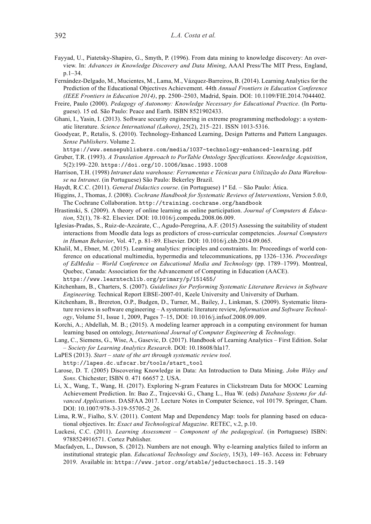- Fayyad, U., Piatetsky-Shapiro, G., Smyth, P. (1996). From data mining to knowledge discovery: An overview. In: *Advances in Knowledge Discovery and Data Mining*, AAAI Press/The MIT Press, England, p.1–34.
- Fernández-Delgado, M., Mucientes, M., Lama, M., Vázquez-Barreiros, B. (2014). Learning Analytics for the Prediction of the Educational Objectives Achievement. 44th *Annual Frontiers in Education Conference (IEEE Frontiers in Education 2014)*, pp. 2500–2503, Madrid, Spain. DOI: 10.1109/FIE.2014.7044402.
- Freire, Paulo (2000). *Pedagogy of Autonomy: Knowledge Necessary for Educational Practice*. (In Portuguese). 15 ed. São Paulo: Peace and Earth. ISBN 8521902433.
- Ghani, I., Yasin, I. (2013). Software security engineering in extreme programming methodology: a systematic literature. *Science International (Lahore)*, 25(2), 215–221. ISSN 1013-5316.
- Goodyear, P., Retalis, S. (2010). Technology-Enhanced Learning, Design Patterns and Pattern Languages. *Sense Publishers*. Volume 2.

https://www.sensepublishers.com/media/1037-technology-enhanced-learning.pdf

- Gruber, T.R. (1993). *A Translation Approach to PorTable Ontology Specifications. Knowledge Acquisition*, 5(2):199–220. https://doi.org/10.1006/knac.1993.1008
- Harrison, T.H. (1998) *Intranet data warehouse: Ferramentas e Técnicas para Utilização do Data Warehouse na Intranet*. (in Portuguese) São Paulo: Bekerley Brazil.
- Haydt, R.C.C. (2011). *General Didactics course*. (in Portuguese) 1ª Ed. São Paulo: Ática.
- Higgins, J., Thomas, J. (2008). *Cochrane Handbook for Systematic Reviews of Interventions*, Version 5.0.0, The Cochrane Collaboration. http://training.cochrane.org/handbook
- Hrastinski, S. (2009). A theory of online learning as online participation. *Journal of Computers & Education*, 52(1), 78–82. Elsevier. DOI: 10.1016/j.compedu.2008.06.009.
- Iglesias-Pradas, S., Ruiz-de-Azcárate, C., Agudo-Peregrina, A.F. (2015) Assessing the suitability of student interactions from Moodle data logs as predictors of cross-curricular competencies. *Journal Computers in Human Behavior*, Vol. 47, p. 81–89. Elsevier. DOI: 10.1016/j.chb.2014.09.065.
- Khalil, M., Ebner, M. (2015). Learning analytics: principles and constraints. In: Proceedings of world conference on educational multimedia, hypermedia and telecommunications, pp 1326–1336. *Proceedings of EdMedia – World Conference on Educational Media and Technology* (pp. 1789–1799). Montreal, Quebec, Canada: Association for the Advancement of Computing in Education (AACE). https://www.learntechlib.org/primary/p/151455/
- Kitchenham, B., Charters, S. (2007). *Guidelines for Performing Systematic Literature Reviews in Software Engineering.* Technical Report EBSE-2007-01, Keele University and University of Durham.
- Kitchenham, B., Brereton, O.P., Budgen, D., Turner, M., Bailey, J., Linkman, S. (2009). Systematic literature reviews in software engineering – A systematic literature review, *Information and Software Technology*, Volume 51, Issue 1, 2009, Pages 7–15, DOI: 10.1016/j.infsof.2008.09.009.
- Korchi, A.; Abdellah, M. B.; (2015). A modeling learner approach in a computing environment for human learning based on ontology, *International Journal of Computer Engineering & Technology*.
- Lang, C., Siemens, G., Wise, A., Gasevic, D. (2017). Handbook of Learning Analytics First Edition. Solar – *Society for Learning Analytics Research*. DOI: 10.18608/hla17.
- LaPES (2013). *Start state of the art through systematic review tool*. http://lapes.dc.ufscar.br/tools/start\_tool
- Larose, D. T. (2005) Discovering Knowledge in Data: An Introduction to Data Mining. *John Wiley and Sons*. Chichester; ISBN 0. 471 66657 2. USA.
- Li, X., Wang, T., Wang, H. (2017). Exploring N-gram Features in Clickstream Data for MOOC Learning Achievement Prediction. In: Bao Z., Trajcevski G., Chang L., Hua W. (eds) *Database Systems for Advanced Applications*. DASFAA 2017. Lecture Notes in Computer Science, vol 10179. Springer, Cham. DOI: 10.1007/978-3-319-55705-2\_26.
- Lima, R.W., Fialho, S.V. (2011). Content Map and Dependency Map: tools for planning based on educational objectives. In: *Exact and Technological Magazine*. RETEC, v.2, p.10.
- Luckesi, C.C. (2011). *Learning Assessment Component of the pedagogical*. (in Portuguese) ISBN: 9788524916571. Cortez Publisher.
- Macfadyen, L., Dawson, S. (2012). Numbers are not enough. Why e-learning analytics failed to inform an institutional strategic plan. *Educational Technology and Society*, 15(3), 149–163. Access in: February 2019. Available in: https://www.jstor.org/stable/jeductechsoci.15.3.149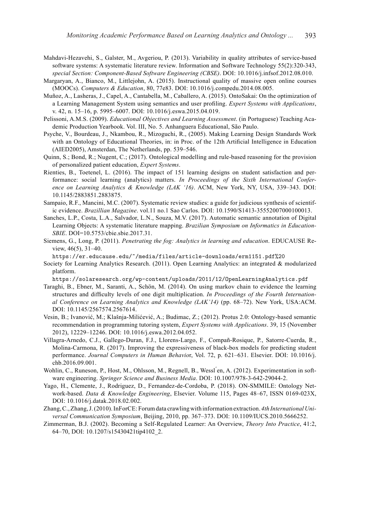- Mahdavi-Hezavehi, S., Galster, M., Avgeriou, P. (2013). Variability in quality attributes of service-based software systems: A systematic literature review. Information and Software Technology 55(2):320-343, *special Section: Component-Based Software Engineering (CBSE)*. DOI: 10.1016/j.infsof.2012.08.010.
- Margaryan, A., Bianco, M., Littlejohn, A. (2015). Instructional quality of massive open online courses (MOOCs). *Computers & Education*, 80, 77e83. DOI: 10.1016/j.compedu.2014.08.005.
- Muñoz, A., Lasheras, J., Capel, A., Cantabella, M., Caballero, A. (2015). OntoSakai: On the optimization of a Learning Management System using semantics and user profiling. *Expert Systems with Applications*, v. 42, n. 15–16, p. 5995–6007. DOI: 10.1016/j.eswa.2015.04.019.
- Pelissoni, A.M.S. (2009). *Educational Objectives and Learning Assessment*. (in Portuguese) Teaching Academic Production Yearbook. Vol. III, No. 5. Anhanguera Educational, São Paulo.
- Psyche, V., Bourdeau, J., Nkambou, R., Mizoguchi, R., (2005). Making Learning Design Standards Work with an Ontology of Educational Theories, in: in Proc. of the 12th Artificial Intelligence in Education (AIED2005), Amsterdan, The Netherlands, pp. 539–546.
- Quinn, S.; Bond, R.; Nugent, C.; (2017). Ontological modelling and rule-based reasoning for the provision of personalized patient education, *Expert Systems*.
- Rienties, B., Toetenel, L. (2016). The impact of 151 learning designs on student satisfaction and performance: social learning (analytics) matters. *In Proceedings of the Sixth International Conference on Learning Analytics & Knowledge (LAK '16)*. ACM, New York, NY, USA, 339–343. DOI: 10.1145/2883851.2883875.
- Sampaio, R.F., Mancini, M.C. (2007). Systematic review studies: a guide for judicious synthesis of scientific evidence. *Brazillian Magazine*. vol.11 no.1 Sao Carlos. DOI: 10.1590/S1413-35552007000100013.
- Sanches, L.P., Costa, L.A., Salvador, L.N., Souza, M.V. (2017). Automatic semantic annotation of Digital Learning Objects: A systematic literature mapping. *Brazilian Symposium on Informatics in Education-SBIE*. DOI=10.5753/cbie.sbie.2017.31.
- Siemens, G., Long, P. (2011). *Penetrating the fog: Analytics in learning and education*. EDUCAUSE Review, 46(5), 31–40.

https://er.educause.edu/~/media/files/article-downloads/erm1151.pdf%20

Society for Learning Analytics Research. (2011). Open Learning Analytics: an integrated & modularized platform.

https://solaresearch.org/wp-content/uploads/2011/12/OpenLearningAnalytics.pdf

- Taraghi, B., Ebner, M., Saranti, A., Schön, M. (2014). On using markov chain to evidence the learning structures and difficulty levels of one digit multiplication. *In Proceedings of the Fourth International Conference on Learning Analytics and Knowledge (LAK'14)* (pp. 68–72). New York, USA:ACM. DOI: 10.1145/2567574.2567614.
- Vesin, B.; Ivanović, M.; Klašnja-Milićević, A.; Budimac, Z.; (2012). Protus 2.0: Ontology-based semantic recommendation in programming tutoring system, *Expert Systems with Applications*. 39, 15 (November 2012), 12229–12246. DOI: 10.1016/j.eswa.2012.04.052.
- Villagra-Arnedo, C.J., Gallego-Duran, F.J., Llorens-Largo, F., Compañ-Rosique, P., Satorre-Cuerda, R., Molina-Carmona, R. (2017). Improving the expressiveness of black-box models for predicting student performance. *Journal Computers in Human Behavio*r, Vol. 72, p. 621–631. Elsevier. DOI: 10.1016/j. chb.2016.09.001.
- Wohlin, C., Runeson, P., Host, M., Ohlsson, M., Regnell, B., Wessl en, A. (2012). Experimentation in software engineering. *Springer Science and Business Media*. DOI: 10.1007/978-3-642-29044-2.
- Yago, H., Clemente, J., Rodriguez, D., Fernandez-de-Cordoba, P. (2018). ON-SMMILE: Ontology Network-based. *Data & Knowledge Engineering*, Elsevier. Volume 115, Pages 48–67, ISSN 0169-023X, DOI: 10.1016/j.datak.2018.02.002.
- Zhang, C., Zhang, J. (2010). InForCE: Forum data crawling with information extraction. *4th International Universal Communication Symposium*, Beijing, 2010, pp. 367–373. DOI: 10.1109/IUCS.2010.5666252.
- Zimmerman, B.J. (2002). Becoming a Self-Regulated Learner: An Overview, *Theory Into Practice*, 41:2, 64–70, DOI: 10.1207/s15430421tip4102\_2.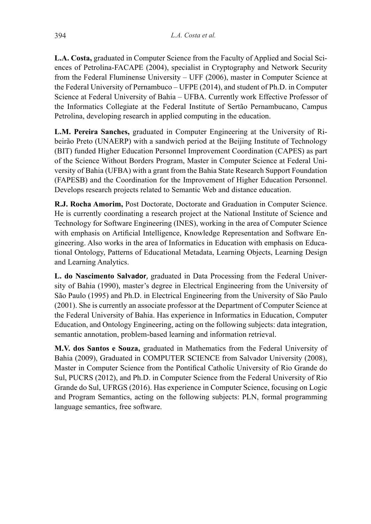**L.A. Costa,** graduated in Computer Science from the Faculty of Applied and Social Sciences of Petrolina-FACAPE (2004), specialist in Cryptography and Network Security from the Federal Fluminense University – UFF (2006), master in Computer Science at the Federal University of Pernambuco – UFPE (2014), and student of Ph.D. in Computer Science at Federal University of Bahia – UFBA. Currently work Effective Professor of the Informatics Collegiate at the Federal Institute of Sertão Pernambucano, Campus Petrolina, developing research in applied computing in the education.

**L.M. Pereira Sanches,** graduated in Computer Engineering at the University of Ribeirão Preto (UNAERP) with a sandwich period at the Beijing Institute of Technology (BIT) funded Higher Education Personnel Improvement Coordination (CAPES) as part of the Science Without Borders Program, Master in Computer Science at Federal University of Bahia (UFBA) with a grant from the Bahia State Research Support Foundation (FAPESB) and the Coordination for the Improvement of Higher Education Personnel. Develops research projects related to Semantic Web and distance education.

**R.J. Rocha Amorim,** Post Doctorate, Doctorate and Graduation in Computer Science. He is currently coordinating a research project at the National Institute of Science and Technology for Software Engineering (INES), working in the area of Computer Science with emphasis on Artificial Intelligence, Knowledge Representation and Software Engineering. Also works in the area of Informatics in Education with emphasis on Educational Ontology, Patterns of Educational Metadata, Learning Objects, Learning Design and Learning Analytics.

**L. do Nascimento Salvador**, graduated in Data Processing from the Federal University of Bahia (1990), master's degree in Electrical Engineering from the University of São Paulo (1995) and Ph.D. in Electrical Engineering from the University of São Paulo (2001). She is currently an associate professor at the Department of Computer Science at the Federal University of Bahia. Has experience in Informatics in Education, Computer Education, and Ontology Engineering, acting on the following subjects: data integration, semantic annotation, problem-based learning and information retrieval.

**M.V. dos Santos e Souza,** graduated in Mathematics from the Federal University of Bahia (2009), Graduated in COMPUTER SCIENCE from Salvador University (2008), Master in Computer Science from the Pontifical Catholic University of Rio Grande do Sul, PUCRS (2012), and Ph.D. in Computer Science from the Federal University of Rio Grande do Sul, UFRGS (2016). Has experience in Computer Science, focusing on Logic and Program Semantics, acting on the following subjects: PLN, formal programming language semantics, free software.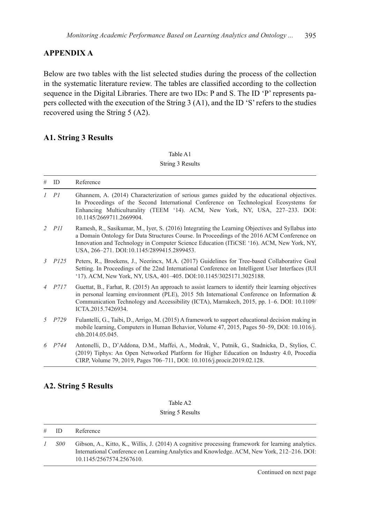## **APPENDIX A**

Below are two tables with the list selected studies during the process of the collection in the systematic literature review. The tables are classified according to the collection sequence in the Digital Libraries. There are two IDs: P and S. The ID 'P' represents papers collected with the execution of the String 3 (A1), and the ID 'S' refers to the studies recovered using the String 5 (A2).

# **A1. String 3 Results**

Table A1 String 3 Results

| #             | ID         | Reference                                                                                                                                                                                                                                                                                                                                |
|---------------|------------|------------------------------------------------------------------------------------------------------------------------------------------------------------------------------------------------------------------------------------------------------------------------------------------------------------------------------------------|
| $\mathcal{I}$ | PI         | Ghannem, A. (2014) Characterization of serious games guided by the educational objectives.<br>In Proceedings of the Second International Conference on Technological Ecosystems for<br>Enhancing Multiculturality (TEEM '14). ACM, New York, NY, USA, 227-233. DOI:<br>10.1145/2669711.2669904.                                          |
|               | $2$ $PII$  | Ramesh, R., Sasikumar, M., Iyer, S. (2016) Integrating the Learning Objectives and Syllabus into<br>a Domain Ontology for Data Structures Course. In Proceedings of the 2016 ACM Conference on<br>Innovation and Technology in Computer Science Education (ITiCSE '16). ACM, New York, NY,<br>USA, 266-271. DOI:10.1145/2899415.2899453. |
|               | $3$ $P125$ | Peters, R., Broekens, J., Neerincx, M.A. (2017) Guidelines for Tree-based Collaborative Goal<br>Setting. In Proceedings of the 22nd International Conference on Intelligent User Interfaces (IUI)<br>'17). ACM, New York, NY, USA, 401-405. DOI:10.1145/3025171.3025188.                                                                 |
|               | $4$ $P717$ | Guettat, B., Farhat, R. (2015) An approach to assist learners to identify their learning objectives<br>in personal learning environment (PLE), 2015 5th International Conference on Information $\&$<br>Communication Technology and Accessibility (ICTA), Marrakech, 2015, pp. 1–6. DOI: 10.1109/<br>ICTA.2015.7426934.                 |
| 5.            | P729       | Fulantelli, G., Taibi, D., Arrigo, M. (2015) A framework to support educational decision making in<br>mobile learning, Computers in Human Behavior, Volume 47, 2015, Pages 50–59, DOI: 10.1016/j.<br>chb.2014.05.045.                                                                                                                    |
|               | 6 P744     | Antonelli, D., D'Addona, D.M., Maffei, A., Modrak, V., Putnik, G., Stadnicka, D., Stylios, C.<br>(2019) Tiphys: An Open Networked Platform for Higher Education on Industry 4.0, Procedia<br>CIRP, Volume 79, 2019, Pages 706–711, DOI: 10.1016/j.procir.2019.02.128.                                                                    |

## **A2. String 5 Results**

#### Table A2 String 5 Results

| $#$ ID     | Reference                                                                                                                                                                                                                   |
|------------|-----------------------------------------------------------------------------------------------------------------------------------------------------------------------------------------------------------------------------|
| <i>S00</i> | Gibson, A., Kitto, K., Willis, J. (2014) A cognitive processing framework for learning analytics.<br>International Conference on Learning Analytics and Knowledge. ACM, New York, 212–216. DOI:<br>10.1145/2567574.2567610. |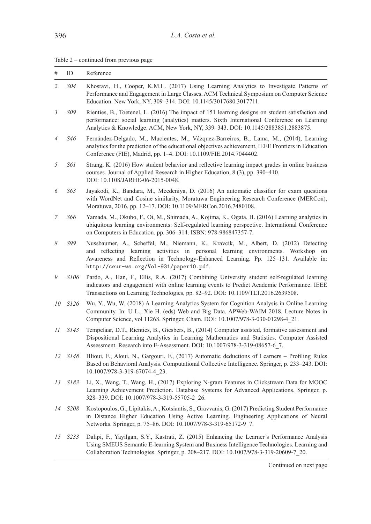| Table $2$ – continued from previous page |  |
|------------------------------------------|--|
|------------------------------------------|--|

| #              | ID          | Reference                                                                                                                                                                                                                                                                                                      |
|----------------|-------------|----------------------------------------------------------------------------------------------------------------------------------------------------------------------------------------------------------------------------------------------------------------------------------------------------------------|
| $\overline{2}$ | S04         | Khosravi, H., Cooper, K.M.L. (2017) Using Learning Analytics to Investigate Patterns of<br>Performance and Engagement in Large Classes. ACM Technical Symposium on Computer Science<br>Education. New York, NY, 309-314. DOI: 10.1145/3017680.3017711.                                                         |
| 3              | S09         | Rienties, B., Toetenel, L. (2016) The impact of 151 learning designs on student satisfaction and<br>performance: social learning (analytics) matters. Sixth International Conference on Learning<br>Analytics & Knowledge. ACM, New York, NY, 339–343. DOI: 10.1145/2883851.2883875.                           |
| $\overline{4}$ | S46         | Fernández-Delgado, M., Mucientes, M., Vázquez-Barreiros, B., Lama, M., (2014), Learning<br>analytics for the prediction of the educational objectives achievement, IEEE Frontiers in Education<br>Conference (FIE), Madrid, pp. 1–4. DOI: 10.1109/FIE.2014.7044402.                                            |
| 5              | <i>S61</i>  | Strang, K. (2016) How student behavior and reflective learning impact grades in online business<br>courses. Journal of Applied Research in Higher Education, 8 (3), pp. 390–410.<br>DOI: 10.1108/JARHE-06-2015-0048.                                                                                           |
| 6              | S63         | Jayakodi, K., Bandara, M., Meedeniya, D. (2016) An automatic classifier for exam questions<br>with WordNet and Cosine similarity, Moratuwa Engineering Research Conference (MERCon),<br>Moratuwa, 2016, pp. 12-17. DOI: 10.1109/MERCon.2016.7480108.                                                           |
| 7              | S66         | Yamada, M., Okubo, F., Oi, M., Shimada, A., Kojima, K., Ogata, H. (2016) Learning analytics in<br>ubiquitous learning environments: Self-regulated learning perspective. International Conference<br>on Computers in Education. pp. 306–314. ISBN: 978-986847357-7.                                            |
| 8              | S99         | Nussbaumer, A., Scheffel, M., Niemann, K., Kravcik, M., Albert, D. (2012) Detecting<br>and reflecting learning activities in personal learning environments. Workshop<br>on<br>Awareness and Reflection in Technology-Enhanced Learning. Pp. 125–131. Available in:<br>http://ceur-ws.org/Vol-931/paper10.pdf. |
| 9              | S106        | Pardo, A., Han, F., Ellis, R.A. (2017) Combining University student self-regulated learning<br>indicators and engagement with online learning events to Predict Academic Performance. IEEE<br>Transactions on Learning Technologies, pp. 82–92. DOI: 10.1109/TLT.2016.2639508.                                 |
| 10             | <i>S126</i> | Wu, Y., Wu, W. (2018) A Learning Analytics System for Cognition Analysis in Online Learning<br>Community. In: U L., Xie H. (eds) Web and Big Data. APWeb-WAIM 2018. Lecture Notes in<br>Computer Science, vol 11268. Springer, Cham. DOI: 10.1007/978-3-030-01298-4 21.                                        |
| 11             | S143        | Tempelaar, D.T., Rienties, B., Giesbers, B., (2014) Computer assisted, formative assessment and<br>Dispositional Learning Analytics in Learning Mathematics and Statistics. Computer Assisted<br>Assessment. Research into E-Assessment. DOI: 10.1007/978-3-319-08657-6 7.                                     |
| 12             | <i>S148</i> | Hlioui, F., Aloui, N., Gargouri, F., (2017) Automatic deductions of Learners – Profiling Rules<br>Based on Behavioral Analysis. Computational Collective Intelligence. Springer, p. 233–243. DOI:<br>10.1007/978-3-319-67074-4 23.                                                                             |
| 13             | S183        | Li, X., Wang, T., Wang, H., (2017) Exploring N-gram Features in Clickstream Data for MOOC<br>Learning Achievement Prediction. Database Systems for Advanced Applications. Springer, p.<br>328-339. DOI: 10.1007/978-3-319-55705-2 26.                                                                          |
| 14             | S208        | Kostopoulos, G., Lipitakis, A., Kotsiantis, S., Gravvanis, G. (2017) Predicting Student Performance<br>in Distance Higher Education Using Active Learning. Engineering Applications of Neural<br>Networks. Springer, p. 75-86. DOI: 10.1007/978-3-319-65172-9_7.                                               |
| 15             | S233        | Dalipi, F., Yayilgan, S.Y., Kastrati, Z. (2015) Enhancing the Learner's Performance Analysis<br>Using SMEUS Semantic E-learning System and Business Intelligence Technologies. Learning and<br>Collaboration Technologies. Springer, p. 208-217. DOI: 10.1007/978-3-319-20609-7 20.                            |